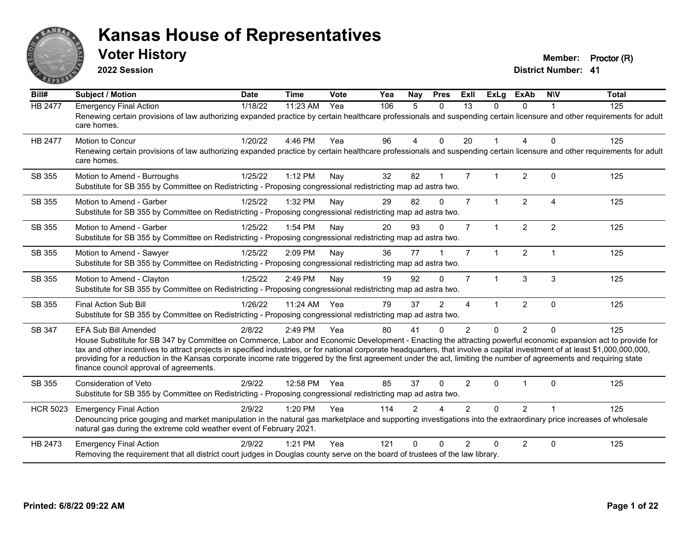

**2022 Session**

**Voter History Member: Proctor (R)** 

| Bill#           | Subject / Motion                                                                                                                                                                                                                                                                                                                                                                                                                                                                                                                                                                                   | <b>Date</b> | <b>Time</b>  | Vote | Yea | <b>Nay</b>     | <b>Pres</b>  | ExII           | <b>ExLg</b>  | <b>ExAb</b>    | <b>NIV</b>     | <b>Total</b> |
|-----------------|----------------------------------------------------------------------------------------------------------------------------------------------------------------------------------------------------------------------------------------------------------------------------------------------------------------------------------------------------------------------------------------------------------------------------------------------------------------------------------------------------------------------------------------------------------------------------------------------------|-------------|--------------|------|-----|----------------|--------------|----------------|--------------|----------------|----------------|--------------|
| <b>HB 2477</b>  | <b>Emergency Final Action</b><br>Renewing certain provisions of law authorizing expanded practice by certain healthcare professionals and suspending certain licensure and other requirements for adult<br>care homes.                                                                                                                                                                                                                                                                                                                                                                             | 1/18/22     | 11:23 AM     | Yea  | 106 | 5              | $\Omega$     | 13             | $\Omega$     | $\Omega$       |                | 125          |
| <b>HB 2477</b>  | <b>Motion to Concur</b><br>Renewing certain provisions of law authorizing expanded practice by certain healthcare professionals and suspending certain licensure and other requirements for adult<br>care homes.                                                                                                                                                                                                                                                                                                                                                                                   | 1/20/22     | 4:46 PM      | Yea  | 96  | 4              | $\Omega$     | 20             | $\mathbf{1}$ | 4              | $\Omega$       | 125          |
| SB 355          | Motion to Amend - Burroughs<br>Substitute for SB 355 by Committee on Redistricting - Proposing congressional redistricting map ad astra two.                                                                                                                                                                                                                                                                                                                                                                                                                                                       | 1/25/22     | 1:12 PM      | Nay  | 32  | 82             |              | $\overline{7}$ | 1            | $\overline{2}$ | $\Omega$       | 125          |
| SB 355          | Motion to Amend - Garber<br>Substitute for SB 355 by Committee on Redistricting - Proposing congressional redistricting map ad astra two.                                                                                                                                                                                                                                                                                                                                                                                                                                                          | 1/25/22     | 1:32 PM      | Nay  | 29  | 82             | $\mathbf 0$  | $\overline{7}$ | $\mathbf{1}$ | $\overline{2}$ | $\overline{4}$ | 125          |
| SB 355          | Motion to Amend - Garber<br>Substitute for SB 355 by Committee on Redistricting - Proposing congressional redistricting map ad astra two.                                                                                                                                                                                                                                                                                                                                                                                                                                                          | 1/25/22     | 1:54 PM      | Nay  | 20  | 93             | $\Omega$     | $\overline{7}$ | $\mathbf{1}$ | $\overline{2}$ | 2              | 125          |
| SB 355          | Motion to Amend - Sawyer<br>Substitute for SB 355 by Committee on Redistricting - Proposing congressional redistricting map ad astra two.                                                                                                                                                                                                                                                                                                                                                                                                                                                          | 1/25/22     | 2:09 PM      | Nay  | 36  | 77             |              | $\overline{7}$ | $\mathbf{1}$ | $\overline{2}$ | $\overline{1}$ | 125          |
| SB 355          | Motion to Amend - Clayton<br>Substitute for SB 355 by Committee on Redistricting - Proposing congressional redistricting map ad astra two.                                                                                                                                                                                                                                                                                                                                                                                                                                                         | 1/25/22     | 2:49 PM      | Nay  | 19  | 92             | $\Omega$     | $\overline{7}$ | $\mathbf{1}$ | 3              | 3              | 125          |
| SB 355          | <b>Final Action Sub Bill</b><br>Substitute for SB 355 by Committee on Redistricting - Proposing congressional redistricting map ad astra two.                                                                                                                                                                                                                                                                                                                                                                                                                                                      | 1/26/22     | 11:24 AM     | Yea  | 79  | 37             | 2            | 4              | 1            | $\overline{2}$ | $\mathbf{0}$   | 125          |
| SB 347          | <b>EFA Sub Bill Amended</b><br>House Substitute for SB 347 by Committee on Commerce, Labor and Economic Development - Enacting the attracting powerful economic expansion act to provide for<br>tax and other incentives to attract projects in specified industries, or for national corporate headquarters, that involve a capital investment of at least \$1,000,000,000,000,<br>providing for a reduction in the Kansas corporate income rate triggered by the first agreement under the act, limiting the number of agreements and requiring state<br>finance council approval of agreements. | 2/8/22      | 2:49 PM      | Yea  | 80  | 41             | $\Omega$     | $\overline{2}$ | $\Omega$     | $\overline{2}$ | $\Omega$       | 125          |
| SB 355          | <b>Consideration of Veto</b><br>Substitute for SB 355 by Committee on Redistricting - Proposing congressional redistricting map ad astra two.                                                                                                                                                                                                                                                                                                                                                                                                                                                      | 2/9/22      | 12:58 PM Yea |      | 85  | 37             | $\mathbf{0}$ | $\overline{2}$ | $\Omega$     |                | $\Omega$       | 125          |
| <b>HCR 5023</b> | <b>Emergency Final Action</b><br>Denouncing price gouging and market manipulation in the natural gas marketplace and supporting investigations into the extraordinary price increases of wholesale<br>natural gas during the extreme cold weather event of February 2021.                                                                                                                                                                                                                                                                                                                          | 2/9/22      | 1:20 PM      | Yea  | 114 | $\mathfrak{p}$ | $\Lambda$    | $\mathcal{P}$  | $\Omega$     | $\overline{2}$ |                | 125          |
| HB 2473         | <b>Emergency Final Action</b><br>Removing the requirement that all district court judges in Douglas county serve on the board of trustees of the law library.                                                                                                                                                                                                                                                                                                                                                                                                                                      | 2/9/22      | 1:21 PM      | Yea  | 121 | $\Omega$       | $\Omega$     | $\mathcal{P}$  | $\Omega$     | $\overline{2}$ | $\mathbf{0}$   | 125          |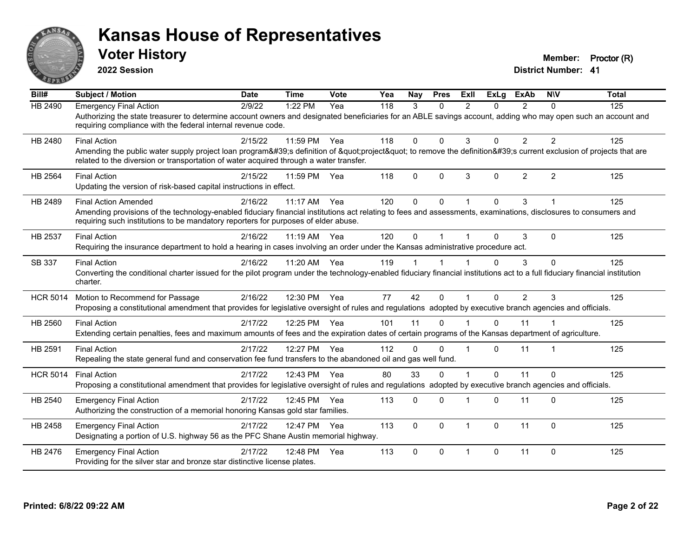

**2022 Session**

**Voter History Member: Proctor (R)** 

| Bill#           | <b>Subject / Motion</b>                                                                                                                                                                                                                                                              | <b>Date</b> | <b>Time</b>  | Vote | Yea | Nay          | <b>Pres</b> | ExIl                    | <b>ExLg</b> | <b>ExAb</b>    | <b>NIV</b>   | <b>Total</b> |
|-----------------|--------------------------------------------------------------------------------------------------------------------------------------------------------------------------------------------------------------------------------------------------------------------------------------|-------------|--------------|------|-----|--------------|-------------|-------------------------|-------------|----------------|--------------|--------------|
| HB 2490         | <b>Emergency Final Action</b><br>Authorizing the state treasurer to determine account owners and designated beneficiaries for an ABLE savings account, adding who may open such an account and<br>requiring compliance with the federal internal revenue code.                       | 2/9/22      | 1:22 PM      | Yea  | 118 | 3            | $\Omega$    | $\mathcal{P}$           | $\Omega$    | $\overline{2}$ | $\Omega$     | 125          |
| HB 2480         | <b>Final Action</b><br>Amending the public water supply project loan program's definition of "project" to remove the definition's current exclusion of projects that are<br>related to the diversion or transportation of water acquired through a water transfer.                   | 2/15/22     | 11:59 PM Yea |      | 118 | $\Omega$     | $\Omega$    | 3                       | $\Omega$    | $\overline{2}$ | 2            | 125          |
| HB 2564         | <b>Final Action</b><br>Updating the version of risk-based capital instructions in effect.                                                                                                                                                                                            | 2/15/22     | 11:59 PM     | Yea  | 118 | $\mathbf{0}$ | $\Omega$    | 3                       | $\Omega$    | $\overline{2}$ | 2            | 125          |
| HB 2489         | <b>Final Action Amended</b><br>Amending provisions of the technology-enabled fiduciary financial institutions act relating to fees and assessments, examinations, disclosures to consumers and<br>requiring such institutions to be mandatory reporters for purposes of elder abuse. | 2/16/22     | $11:17$ AM   | Yea  | 120 | $\Omega$     | $\Omega$    |                         | $\Omega$    | 3              |              | 125          |
| HB 2537         | <b>Final Action</b><br>Requiring the insurance department to hold a hearing in cases involving an order under the Kansas administrative procedure act.                                                                                                                               | 2/16/22     | 11:19 AM Yea |      | 120 | $\mathbf{0}$ |             |                         | $\Omega$    | 3              | $\Omega$     | 125          |
| SB 337          | <b>Final Action</b><br>Converting the conditional charter issued for the pilot program under the technology-enabled fiduciary financial institutions act to a full fiduciary financial institution<br>charter.                                                                       | 2/16/22     | 11:20 AM Yea |      | 119 |              |             |                         | 0           | 3              | $\mathbf{0}$ | 125          |
| <b>HCR 5014</b> | Motion to Recommend for Passage<br>Proposing a constitutional amendment that provides for legislative oversight of rules and regulations adopted by executive branch agencies and officials.                                                                                         | 2/16/22     | 12:30 PM Yea |      | 77  | 42           | $\Omega$    |                         | $\Omega$    | $\overline{2}$ | 3            | 125          |
| HB 2560         | <b>Final Action</b><br>Extending certain penalties, fees and maximum amounts of fees and the expiration dates of certain programs of the Kansas department of agriculture.                                                                                                           | 2/17/22     | 12:25 PM Yea |      | 101 | 11           | $\Omega$    |                         | $\Omega$    | 11             |              | 125          |
| HB 2591         | <b>Final Action</b><br>Repealing the state general fund and conservation fee fund transfers to the abandoned oil and gas well fund.                                                                                                                                                  | 2/17/22     | 12:27 PM Yea |      | 112 | $\Omega$     | $\Omega$    |                         | $\Omega$    | 11             | 1            | 125          |
| <b>HCR 5014</b> | <b>Final Action</b><br>Proposing a constitutional amendment that provides for legislative oversight of rules and regulations adopted by executive branch agencies and officials.                                                                                                     | 2/17/22     | 12:43 PM Yea |      | 80  | 33           | $\Omega$    |                         | $\Omega$    | 11             | $\Omega$     | 125          |
| HB 2540         | <b>Emergency Final Action</b><br>Authorizing the construction of a memorial honoring Kansas gold star families.                                                                                                                                                                      | 2/17/22     | 12:45 PM     | Yea  | 113 | 0            | $\Omega$    |                         | $\Omega$    | 11             | $\Omega$     | 125          |
| HB 2458         | <b>Emergency Final Action</b><br>Designating a portion of U.S. highway 56 as the PFC Shane Austin memorial highway.                                                                                                                                                                  | 2/17/22     | 12:47 PM Yea |      | 113 | $\Omega$     | $\Omega$    | $\overline{1}$          | $\Omega$    | 11             | $\mathbf{0}$ | 125          |
| HB 2476         | <b>Emergency Final Action</b><br>Providing for the silver star and bronze star distinctive license plates.                                                                                                                                                                           | 2/17/22     | 12:48 PM     | Yea  | 113 | $\Omega$     | $\Omega$    | $\overline{\mathbf{1}}$ | $\Omega$    | 11             | $\mathbf{0}$ | 125          |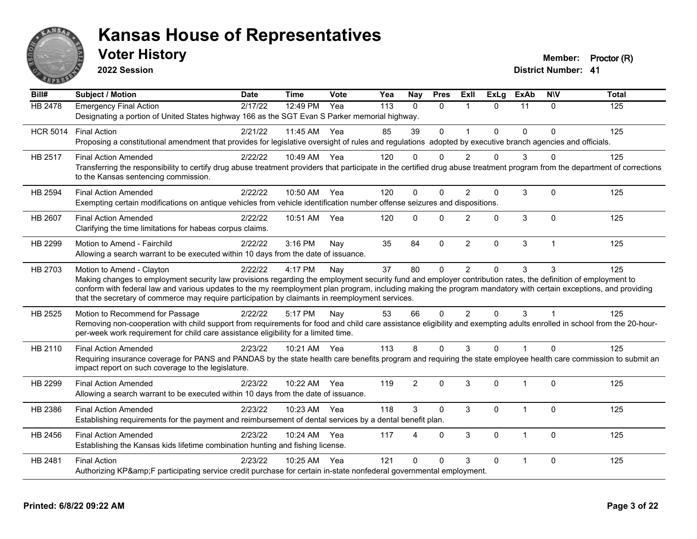

**2022 Session**

**Voter History Member: Proctor (R)** 

| Bill#           | <b>Subject / Motion</b>                                                                                                                                                                                                                                                                                                                                                                                                                                         | <b>Date</b> | <b>Time</b>  | Vote | Yea | <b>Nay</b>     | <b>Pres</b>  | <b>Exll</b>    | <b>ExLg</b> | <b>ExAb</b>    | <b>NIV</b>     | <b>Total</b> |
|-----------------|-----------------------------------------------------------------------------------------------------------------------------------------------------------------------------------------------------------------------------------------------------------------------------------------------------------------------------------------------------------------------------------------------------------------------------------------------------------------|-------------|--------------|------|-----|----------------|--------------|----------------|-------------|----------------|----------------|--------------|
| <b>HB 2478</b>  | <b>Emergency Final Action</b><br>Designating a portion of United States highway 166 as the SGT Evan S Parker memorial highway.                                                                                                                                                                                                                                                                                                                                  | 2/17/22     | 12:49 PM     | Yea  | 113 | $\Omega$       | $\Omega$     | $\mathbf{1}$   | $\Omega$    | 11             | $\Omega$       | 125          |
| <b>HCR 5014</b> | <b>Final Action</b><br>Proposing a constitutional amendment that provides for legislative oversight of rules and regulations adopted by executive branch agencies and officials.                                                                                                                                                                                                                                                                                | 2/21/22     | 11:45 AM     | Yea  | 85  | 39             | $\Omega$     | $\overline{ }$ | 0           | $\Omega$       | $\Omega$       | 125          |
| HB 2517         | <b>Final Action Amended</b><br>Transferring the responsibility to certify drug abuse treatment providers that participate in the certified drug abuse treatment program from the department of corrections<br>to the Kansas sentencing commission.                                                                                                                                                                                                              | 2/22/22     | 10:49 AM Yea |      | 120 | 0              | $\Omega$     | 2              | 0           | 3              | $\Omega$       | 125          |
| HB 2594         | <b>Final Action Amended</b><br>Exempting certain modifications on antique vehicles from vehicle identification number offense seizures and dispositions.                                                                                                                                                                                                                                                                                                        | 2/22/22     | 10:50 AM Yea |      | 120 | $\Omega$       | $\Omega$     | $\overline{2}$ | 0           | 3              | $\mathbf 0$    | 125          |
| HB 2607         | <b>Final Action Amended</b><br>Clarifying the time limitations for habeas corpus claims.                                                                                                                                                                                                                                                                                                                                                                        | 2/22/22     | 10:51 AM     | Yea  | 120 | $\Omega$       | $\Omega$     | $\overline{2}$ | 0           | $\mathbf{3}$   | $\mathbf 0$    | 125          |
| HB 2299         | Motion to Amend - Fairchild<br>Allowing a search warrant to be executed within 10 days from the date of issuance.                                                                                                                                                                                                                                                                                                                                               | 2/22/22     | 3:16 PM      | Nay  | 35  | 84             | $\mathbf{0}$ | 2              | 0           | 3              | $\overline{1}$ | 125          |
| HB 2703         | Motion to Amend - Clayton<br>Making changes to employment security law provisions regarding the employment security fund and employer contribution rates, the definition of employment to<br>conform with federal law and various updates to the my reemployment plan program, including making the program mandatory with certain exceptions, and providing<br>that the secretary of commerce may require participation by claimants in reemployment services. | 2/22/22     | 4:17 PM      | Nay  | 37  | 80             | $\mathbf 0$  | $\overline{2}$ | $\Omega$    | 3              | 3              | 125          |
| HB 2525         | Motion to Recommend for Passage<br>Removing non-cooperation with child support from requirements for food and child care assistance eligibility and exempting adults enrolled in school from the 20-hour-<br>per-week work requirement for child care assistance eligibility for a limited time.                                                                                                                                                                | 2/22/22     | 5:17 PM      | Nay  | 53  | 66             | $\Omega$     | $\overline{2}$ | $\Omega$    | 3              |                | 125          |
| HB 2110         | <b>Final Action Amended</b><br>Requiring insurance coverage for PANS and PANDAS by the state health care benefits program and requiring the state employee health care commission to submit an<br>impact report on such coverage to the legislature.                                                                                                                                                                                                            | 2/23/22     | 10:21 AM Yea |      | 113 | 8              | $\Omega$     | 3              | $\Omega$    | $\overline{1}$ | $\Omega$       | 125          |
| HB 2299         | <b>Final Action Amended</b><br>Allowing a search warrant to be executed within 10 days from the date of issuance.                                                                                                                                                                                                                                                                                                                                               | 2/23/22     | 10:22 AM     | Yea  | 119 | $\overline{2}$ | $\Omega$     | 3              | 0           | 1              | $\mathbf 0$    | 125          |
| HB 2386         | <b>Final Action Amended</b><br>Establishing requirements for the payment and reimbursement of dental services by a dental benefit plan.                                                                                                                                                                                                                                                                                                                         | 2/23/22     | 10:23 AM Yea |      | 118 | 3              | $\Omega$     | 3              | 0           | $\overline{1}$ | $\Omega$       | 125          |
| HB 2456         | <b>Final Action Amended</b><br>Establishing the Kansas kids lifetime combination hunting and fishing license.                                                                                                                                                                                                                                                                                                                                                   | 2/23/22     | 10:24 AM     | Yea  | 117 | 4              | $\mathbf{0}$ | 3              | 0           | 1              | $\Omega$       | 125          |
| HB 2481         | <b>Final Action</b><br>Authorizing KP&F participating service credit purchase for certain in-state nonfederal governmental employment.                                                                                                                                                                                                                                                                                                                          | 2/23/22     | 10:25 AM Yea |      | 121 | $\Omega$       | $\Omega$     | 3              | 0           |                | $\Omega$       | 125          |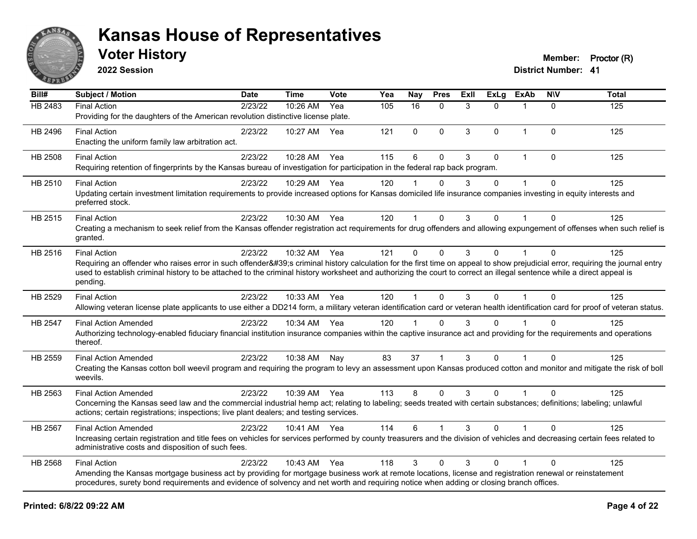

**2022 Session**

**District Number: 41 Voter History Member: Proctor (R)** 

| Bill#          | <b>Subject / Motion</b>                                                                                                                                                                                                                                                                                                                                                                | <b>Date</b> | <b>Time</b>  | Vote | Yea | <b>Nay</b>   | <b>Pres</b>  | ExII | <b>ExLg</b> | <b>ExAb</b>  | <b>NIV</b>   | <b>Total</b> |
|----------------|----------------------------------------------------------------------------------------------------------------------------------------------------------------------------------------------------------------------------------------------------------------------------------------------------------------------------------------------------------------------------------------|-------------|--------------|------|-----|--------------|--------------|------|-------------|--------------|--------------|--------------|
| HB 2483        | <b>Final Action</b><br>Providing for the daughters of the American revolution distinctive license plate.                                                                                                                                                                                                                                                                               | 2/23/22     | 10:26 AM     | Yea  | 105 | 16           | $\mathbf 0$  | 3    | $\Omega$    |              | $\mathbf{0}$ | 125          |
| HB 2496        | <b>Final Action</b><br>Enacting the uniform family law arbitration act.                                                                                                                                                                                                                                                                                                                | 2/23/22     | 10:27 AM     | Yea  | 121 | 0            | $\mathbf 0$  | 3    | $\Omega$    | $\mathbf{1}$ | $\Omega$     | 125          |
| <b>HB 2508</b> | <b>Final Action</b><br>Requiring retention of fingerprints by the Kansas bureau of investigation for participation in the federal rap back program.                                                                                                                                                                                                                                    | 2/23/22     | 10:28 AM     | Yea  | 115 | 6            | 0            | 3    | 0           | 1            | $\Omega$     | 125          |
| HB 2510        | <b>Final Action</b><br>Updating certain investment limitation requirements to provide increased options for Kansas domiciled life insurance companies investing in equity interests and<br>preferred stock.                                                                                                                                                                            | 2/23/22     | 10:29 AM     | Yea  | 120 |              | 0            | 3    | $\Omega$    |              | $\Omega$     | 125          |
| HB 2515        | <b>Final Action</b><br>Creating a mechanism to seek relief from the Kansas offender registration act requirements for drug offenders and allowing expungement of offenses when such relief is<br>granted.                                                                                                                                                                              | 2/23/22     | 10:30 AM     | Yea  | 120 | $\mathbf{1}$ | $\Omega$     | 3    | $\Omega$    |              | $\Omega$     | 125          |
| HB 2516        | <b>Final Action</b><br>Requiring an offender who raises error in such offender's criminal history calculation for the first time on appeal to show prejudicial error, requiring the journal entry<br>used to establish criminal history to be attached to the criminal history worksheet and authorizing the court to correct an illegal sentence while a direct appeal is<br>pending. | 2/23/22     | 10:32 AM Yea |      | 121 | $\Omega$     | $\Omega$     | 3    | $\Omega$    |              | $\Omega$     | 125          |
| HB 2529        | <b>Final Action</b><br>Allowing veteran license plate applicants to use either a DD214 form, a military veteran identification card or veteran health identification card for proof of veteran status.                                                                                                                                                                                 | 2/23/22     | 10:33 AM Yea |      | 120 | 1            | $\mathbf{0}$ | 3    | $\Omega$    |              | $\Omega$     | 125          |
| HB 2547        | <b>Final Action Amended</b><br>Authorizing technology-enabled fiduciary financial institution insurance companies within the captive insurance act and providing for the requirements and operations<br>thereof.                                                                                                                                                                       | 2/23/22     | 10:34 AM     | Yea  | 120 | $\mathbf 1$  | $\Omega$     | 3    | $\Omega$    |              | $\Omega$     | 125          |
| HB 2559        | <b>Final Action Amended</b><br>Creating the Kansas cotton boll weevil program and requiring the program to levy an assessment upon Kansas produced cotton and monitor and mitigate the risk of boll<br>weevils.                                                                                                                                                                        | 2/23/22     | 10:38 AM     | Nay  | 83  | 37           |              | 3    | $\Omega$    |              | $\Omega$     | 125          |
| HB 2563        | <b>Final Action Amended</b><br>Concerning the Kansas seed law and the commercial industrial hemp act; relating to labeling; seeds treated with certain substances; definitions; labeling; unlawful<br>actions; certain registrations; inspections; live plant dealers; and testing services.                                                                                           | 2/23/22     | 10:39 AM Yea |      | 113 | 8            | $\Omega$     | 3    | $\Omega$    | $\mathbf{1}$ | $\Omega$     | 125          |
| HB 2567        | <b>Final Action Amended</b><br>Increasing certain registration and title fees on vehicles for services performed by county treasurers and the division of vehicles and decreasing certain fees related to<br>administrative costs and disposition of such fees.                                                                                                                        | 2/23/22     | 10:41 AM Yea |      | 114 | 6            |              | 3    | $\Omega$    |              | $\Omega$     | 125          |
| HB 2568        | <b>Final Action</b><br>Amending the Kansas mortgage business act by providing for mortgage business work at remote locations, license and registration renewal or reinstatement<br>procedures, surety bond requirements and evidence of solvency and net worth and requiring notice when adding or closing branch offices.                                                             | 2/23/22     | 10:43 AM     | Yea  | 118 | 3            | $\Omega$     | 3    | $\Omega$    |              | $\Omega$     | 125          |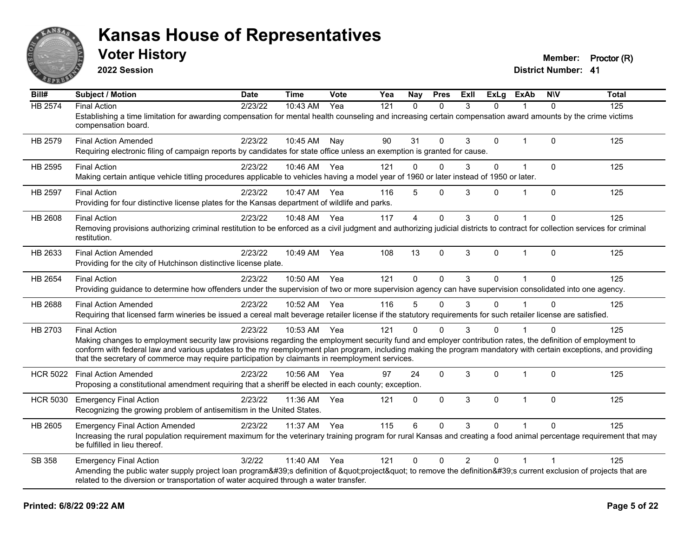

**2022 Session**

**Voter History Member: Proctor (R)** 

| Bill#           | Subject / Motion                                                                                                                                                                                                                                                   | <b>Date</b> | <b>Time</b>  | <b>Vote</b> | Yea | Nay          | <b>Pres</b> | ExII           | <b>ExLg</b> | <b>ExAb</b>    | <b>NIV</b>   | <b>Total</b> |
|-----------------|--------------------------------------------------------------------------------------------------------------------------------------------------------------------------------------------------------------------------------------------------------------------|-------------|--------------|-------------|-----|--------------|-------------|----------------|-------------|----------------|--------------|--------------|
| <b>HB 2574</b>  | <b>Final Action</b>                                                                                                                                                                                                                                                | 2/23/22     | 10:43 AM     | Yea         | 121 | $\Omega$     | $\Omega$    | 3              | $\Omega$    |                | $\Omega$     | 125          |
|                 | Establishing a time limitation for awarding compensation for mental health counseling and increasing certain compensation award amounts by the crime victims<br>compensation board.                                                                                |             |              |             |     |              |             |                |             |                |              |              |
| HB 2579         | <b>Final Action Amended</b>                                                                                                                                                                                                                                        | 2/23/22     | 10:45 AM Nay |             | 90  | 31           | $\Omega$    | 3              | 0           | $\overline{1}$ | $\Omega$     | 125          |
|                 | Requiring electronic filing of campaign reports by candidates for state office unless an exemption is granted for cause.                                                                                                                                           |             |              |             |     |              |             |                |             |                |              |              |
| HB 2595         | <b>Final Action</b>                                                                                                                                                                                                                                                | 2/23/22     | 10:46 AM     | Yea         | 121 | $\mathbf 0$  | $\mathbf 0$ | 3              | 0           | $\overline{1}$ | $\mathbf 0$  | 125          |
|                 | Making certain antique vehicle titling procedures applicable to vehicles having a model year of 1960 or later instead of 1950 or later.                                                                                                                            |             |              |             |     |              |             |                |             |                |              |              |
| HB 2597         | <b>Final Action</b>                                                                                                                                                                                                                                                | 2/23/22     | 10:47 AM     | Yea         | 116 | 5            | $\Omega$    | 3              | 0           |                | $\Omega$     | 125          |
|                 | Providing for four distinctive license plates for the Kansas department of wildlife and parks.                                                                                                                                                                     |             |              |             |     |              |             |                |             |                |              |              |
| HB 2608         | <b>Final Action</b>                                                                                                                                                                                                                                                | 2/23/22     | 10:48 AM     | Yea         | 117 | 4            | $\mathbf 0$ | 3              | 0           |                | $\mathbf{0}$ | 125          |
|                 | Removing provisions authorizing criminal restitution to be enforced as a civil judgment and authorizing judicial districts to contract for collection services for criminal<br>restitution.                                                                        |             |              |             |     |              |             |                |             |                |              |              |
| HB 2633         | <b>Final Action Amended</b>                                                                                                                                                                                                                                        | 2/23/22     | 10:49 AM     | Yea         | 108 | 13           | $\mathbf 0$ | 3              | 0           | $\mathbf{1}$   | $\Omega$     | 125          |
|                 | Providing for the city of Hutchinson distinctive license plate.                                                                                                                                                                                                    |             |              |             |     |              |             |                |             |                |              |              |
| HB 2654         | <b>Final Action</b>                                                                                                                                                                                                                                                | 2/23/22     | 10:50 AM     | Yea         | 121 | $\Omega$     | $\Omega$    | 3              | $\Omega$    | $\overline{1}$ | $\Omega$     | 125          |
|                 | Providing guidance to determine how offenders under the supervision of two or more supervision agency can have supervision consolidated into one agency.                                                                                                           |             |              |             |     |              |             |                |             |                |              |              |
| HB 2688         | <b>Final Action Amended</b>                                                                                                                                                                                                                                        | 2/23/22     | 10:52 AM     | Yea         | 116 | 5            | $\Omega$    | 3              | 0           |                | $\Omega$     | 125          |
|                 | Requiring that licensed farm wineries be issued a cereal malt beverage retailer license if the statutory requirements for such retailer license are satisfied.                                                                                                     |             |              |             |     |              |             |                |             |                |              |              |
| HB 2703         | <b>Final Action</b>                                                                                                                                                                                                                                                | 2/23/22     | 10:53 AM Yea |             | 121 | $\Omega$     | $\Omega$    | 3              | 0           |                | $\Omega$     | 125          |
|                 | Making changes to employment security law provisions regarding the employment security fund and employer contribution rates, the definition of employment to                                                                                                       |             |              |             |     |              |             |                |             |                |              |              |
|                 | conform with federal law and various updates to the my reemployment plan program, including making the program mandatory with certain exceptions, and providing<br>that the secretary of commerce may require participation by claimants in reemployment services. |             |              |             |     |              |             |                |             |                |              |              |
|                 | <b>Final Action Amended</b>                                                                                                                                                                                                                                        | 2/23/22     | 10:56 AM     | Yea         | 97  | 24           | $\mathbf 0$ | 3              | 0           | 1              | $\mathbf 0$  | 125          |
| <b>HCR 5022</b> | Proposing a constitutional amendment requiring that a sheriff be elected in each county; exception.                                                                                                                                                                |             |              |             |     |              |             |                |             |                |              |              |
|                 |                                                                                                                                                                                                                                                                    |             |              |             |     |              |             |                |             | 1              |              |              |
| <b>HCR 5030</b> | <b>Emergency Final Action</b><br>Recognizing the growing problem of antisemitism in the United States.                                                                                                                                                             | 2/23/22     | 11:36 AM     | Yea         | 121 | $\mathbf{0}$ | $\Omega$    | 3              | $\Omega$    |                | $\Omega$     | 125          |
|                 |                                                                                                                                                                                                                                                                    |             |              |             |     |              |             |                |             |                |              |              |
| HB 2605         | <b>Emergency Final Action Amended</b>                                                                                                                                                                                                                              | 2/23/22     | 11:37 AM     | Yea         | 115 | 6            | $\Omega$    | 3              | 0           |                | $\Omega$     | 125          |
|                 | Increasing the rural population requirement maximum for the veterinary training program for rural Kansas and creating a food animal percentage requirement that may<br>be fulfilled in lieu thereof.                                                               |             |              |             |     |              |             |                |             |                |              |              |
| SB 358          | <b>Emergency Final Action</b>                                                                                                                                                                                                                                      | 3/2/22      | 11:40 AM     | Yea         | 121 | $\mathbf{0}$ | $\mathbf 0$ | $\overline{2}$ | 0           |                |              | 125          |
|                 | Amending the public water supply project loan program's definition of "project" to remove the definition's current exclusion of projects that are                                                                                                                  |             |              |             |     |              |             |                |             |                |              |              |
|                 | related to the diversion or transportation of water acquired through a water transfer.                                                                                                                                                                             |             |              |             |     |              |             |                |             |                |              |              |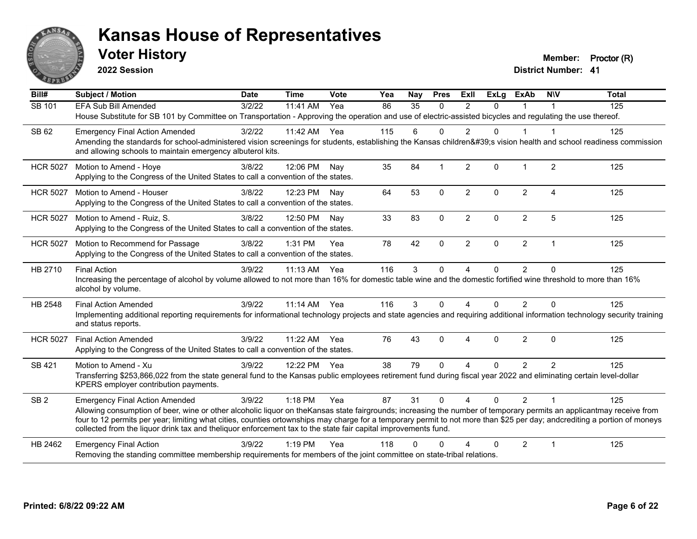

**2022 Session**

**Voter History Member: Proctor (R)** 

| Bill#           | <b>Subject / Motion</b>                                                                                                                                                                                                                                                                                                                                                                                                                                             | <b>Date</b> | <b>Time</b> | Vote | Yea | <b>Nay</b> | <b>Pres</b>    | <b>ExII</b>    | <b>ExLg</b> | <b>ExAb</b>    | <b>NIV</b>              | <b>Total</b> |
|-----------------|---------------------------------------------------------------------------------------------------------------------------------------------------------------------------------------------------------------------------------------------------------------------------------------------------------------------------------------------------------------------------------------------------------------------------------------------------------------------|-------------|-------------|------|-----|------------|----------------|----------------|-------------|----------------|-------------------------|--------------|
| SB 101          | <b>EFA Sub Bill Amended</b>                                                                                                                                                                                                                                                                                                                                                                                                                                         | 3/2/22      | 11:41 AM    | Yea  | 86  | 35         | $\Omega$       | $\mathfrak{p}$ | $\Omega$    | 1              |                         | 125          |
|                 | House Substitute for SB 101 by Committee on Transportation - Approving the operation and use of electric-assisted bicycles and regulating the use thereof.                                                                                                                                                                                                                                                                                                          |             |             |      |     |            |                |                |             |                |                         |              |
| SB 62           | <b>Emergency Final Action Amended</b>                                                                                                                                                                                                                                                                                                                                                                                                                               | 3/2/22      | 11:42 AM    | Yea  | 115 | 6          | $\Omega$       | $\overline{2}$ | $\Omega$    | 1              | $\overline{\mathbf{1}}$ | 125          |
|                 | Amending the standards for school-administered vision screenings for students, establishing the Kansas children's vision health and school readiness commission<br>and allowing schools to maintain emergency albuterol kits.                                                                                                                                                                                                                                       |             |             |      |     |            |                |                |             |                |                         |              |
| <b>HCR 5027</b> | Motion to Amend - Hoye                                                                                                                                                                                                                                                                                                                                                                                                                                              | 3/8/22      | 12:06 PM    | Nav  | 35  | 84         | $\overline{1}$ | 2              | $\Omega$    | $\mathbf 1$    | 2                       | 125          |
|                 | Applying to the Congress of the United States to call a convention of the states.                                                                                                                                                                                                                                                                                                                                                                                   |             |             |      |     |            |                |                |             |                |                         |              |
| <b>HCR 5027</b> | Motion to Amend - Houser                                                                                                                                                                                                                                                                                                                                                                                                                                            | 3/8/22      | 12:23 PM    | Nav  | 64  | 53         | $\mathbf 0$    | $\overline{2}$ | $\Omega$    | $\overline{2}$ | $\boldsymbol{\Lambda}$  | 125          |
|                 | Applying to the Congress of the United States to call a convention of the states.                                                                                                                                                                                                                                                                                                                                                                                   |             |             |      |     |            |                |                |             |                |                         |              |
| <b>HCR 5027</b> | Motion to Amend - Ruiz, S.                                                                                                                                                                                                                                                                                                                                                                                                                                          | 3/8/22      | 12:50 PM    | Nav  | 33  | 83         | $\Omega$       | $\overline{2}$ | $\Omega$    | $\overline{2}$ | 5                       | 125          |
|                 | Applying to the Congress of the United States to call a convention of the states.                                                                                                                                                                                                                                                                                                                                                                                   |             |             |      |     |            |                |                |             |                |                         |              |
| <b>HCR 5027</b> | Motion to Recommend for Passage                                                                                                                                                                                                                                                                                                                                                                                                                                     | 3/8/22      | 1:31 PM     | Yea  | 78  | 42         | $\mathbf{0}$   | $\overline{2}$ | $\Omega$    | $\overline{2}$ | $\overline{\mathbf{1}}$ | 125          |
|                 | Applying to the Congress of the United States to call a convention of the states.                                                                                                                                                                                                                                                                                                                                                                                   |             |             |      |     |            |                |                |             |                |                         |              |
| HB 2710         | <b>Final Action</b>                                                                                                                                                                                                                                                                                                                                                                                                                                                 | 3/9/22      | 11:13 AM    | Yea  | 116 | 3          | $\Omega$       | $\overline{4}$ | 0           | $\overline{2}$ | $\Omega$                | 125          |
|                 | Increasing the percentage of alcohol by volume allowed to not more than 16% for domestic table wine and the domestic fortified wine threshold to more than 16%<br>alcohol by volume.                                                                                                                                                                                                                                                                                |             |             |      |     |            |                |                |             |                |                         |              |
| HB 2548         | <b>Final Action Amended</b>                                                                                                                                                                                                                                                                                                                                                                                                                                         | 3/9/22      | $11:14$ AM  | Yea  | 116 | 3          | $\Omega$       | 4              | $\Omega$    | $\overline{2}$ | $\Omega$                | 125          |
|                 | Implementing additional reporting requirements for informational technology projects and state agencies and requiring additional information technology security training<br>and status reports.                                                                                                                                                                                                                                                                    |             |             |      |     |            |                |                |             |                |                         |              |
| <b>HCR 5027</b> | <b>Final Action Amended</b>                                                                                                                                                                                                                                                                                                                                                                                                                                         | 3/9/22      | 11:22 AM    | Yea  | 76  | 43         | $\Omega$       | 4              | $\Omega$    | $\overline{2}$ | $\Omega$                | 125          |
|                 | Applying to the Congress of the United States to call a convention of the states.                                                                                                                                                                                                                                                                                                                                                                                   |             |             |      |     |            |                |                |             |                |                         |              |
| SB 421          | Motion to Amend - Xu                                                                                                                                                                                                                                                                                                                                                                                                                                                | 3/9/22      | 12:22 PM    | Yea  | 38  | 79         | $\Omega$       | 4              | $\Omega$    | 2              | $\overline{2}$          | 125          |
|                 | Transferring \$253,866,022 from the state general fund to the Kansas public employees retirement fund during fiscal year 2022 and eliminating certain level-dollar<br>KPERS employer contribution payments.                                                                                                                                                                                                                                                         |             |             |      |     |            |                |                |             |                |                         |              |
| SB <sub>2</sub> | <b>Emergency Final Action Amended</b>                                                                                                                                                                                                                                                                                                                                                                                                                               | 3/9/22      | 1:18 PM     | Yea  | 87  | 31         | $\mathbf{0}$   | $\overline{4}$ | $\Omega$    | $\overline{2}$ |                         | 125          |
|                 | Allowing consumption of beer, wine or other alcoholic liquor on theKansas state fairgrounds; increasing the number of temporary permits an applicantmay receive from<br>four to 12 permits per year; limiting what cities, counties ortownships may charge for a temporary permit to not more than \$25 per day; andcrediting a portion of moneys<br>collected from the liquor drink tax and theliquor enforcement tax to the state fair capital improvements fund. |             |             |      |     |            |                |                |             |                |                         |              |
| HB 2462         | <b>Emergency Final Action</b>                                                                                                                                                                                                                                                                                                                                                                                                                                       | 3/9/22      | $1:19$ PM   | Yea  | 118 | ∩          | ∩              |                | $\Omega$    | 2              | -1                      | 125          |
|                 | Removing the standing committee membership requirements for members of the joint committee on state-tribal relations.                                                                                                                                                                                                                                                                                                                                               |             |             |      |     |            |                |                |             |                |                         |              |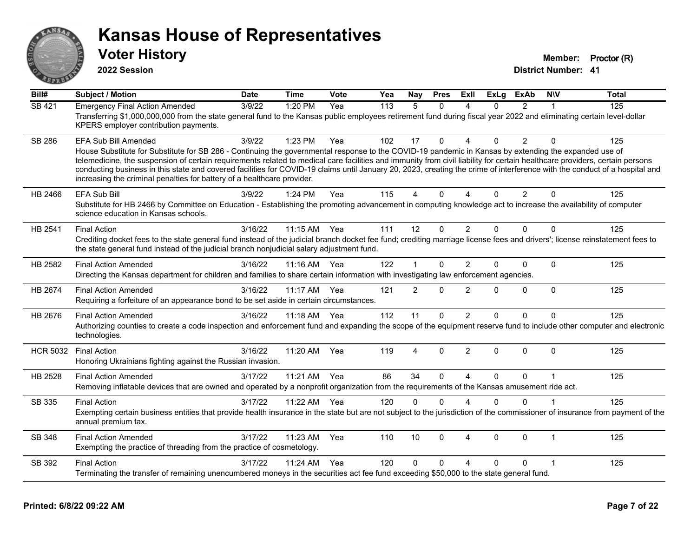

**2022 Session**

**Voter History Member: Proctor (R)** 

| $\overline{BiII#}$ | <b>Subject / Motion</b>                                                                                                                                                                                                                                                                                                                                                                                                                                                                                                                                                                                                      | <b>Date</b> | <b>Time</b>  | Vote  | Yea | Nay            | <b>Pres</b>  | ExII                   | $\overline{Ex}$ Lg | <b>ExAb</b>    | <b>NIV</b>   | <b>Total</b> |
|--------------------|------------------------------------------------------------------------------------------------------------------------------------------------------------------------------------------------------------------------------------------------------------------------------------------------------------------------------------------------------------------------------------------------------------------------------------------------------------------------------------------------------------------------------------------------------------------------------------------------------------------------------|-------------|--------------|-------|-----|----------------|--------------|------------------------|--------------------|----------------|--------------|--------------|
| <b>SB 421</b>      | <b>Emergency Final Action Amended</b><br>Transferring \$1,000,000,000 from the state general fund to the Kansas public employees retirement fund during fiscal year 2022 and eliminating certain level-dollar<br>KPERS employer contribution payments.                                                                                                                                                                                                                                                                                                                                                                       | 3/9/22      | 1:20 PM      | Yea   | 113 | 5              | $\Omega$     | Δ                      | $\Omega$           | $\overline{2}$ | 1            | 125          |
| <b>SB 286</b>      | <b>EFA Sub Bill Amended</b><br>House Substitute for Substitute for SB 286 - Continuing the governmental response to the COVID-19 pandemic in Kansas by extending the expanded use of<br>telemedicine, the suspension of certain requirements related to medical care facilities and immunity from civil liability for certain healthcare providers, certain persons<br>conducting business in this state and covered facilities for COVID-19 claims until January 20, 2023, creating the crime of interference with the conduct of a hospital and<br>increasing the criminal penalties for battery of a healthcare provider. | 3/9/22      | 1:23 PM      | Yea   | 102 | 17             | $\Omega$     | $\boldsymbol{\Lambda}$ | $\Omega$           | $\overline{2}$ | $\Omega$     | 125          |
| HB 2466            | <b>EFA Sub Bill</b><br>Substitute for HB 2466 by Committee on Education - Establishing the promoting advancement in computing knowledge act to increase the availability of computer<br>science education in Kansas schools.                                                                                                                                                                                                                                                                                                                                                                                                 | 3/9/22      | 1:24 PM      | Yea   | 115 | 4              | $\Omega$     | $\Delta$               | $\Omega$           | $\overline{2}$ | $\Omega$     | 125          |
| HB 2541            | <b>Final Action</b><br>Crediting docket fees to the state general fund instead of the judicial branch docket fee fund; crediting marriage license fees and drivers'; license reinstatement fees to<br>the state general fund instead of the judicial branch nonjudicial salary adjustment fund.                                                                                                                                                                                                                                                                                                                              | 3/16/22     | $11:15$ AM   | Yea   | 111 | 12             | $\Omega$     | $\overline{2}$         | $\Omega$           | $\Omega$       | $\Omega$     | 125          |
| HB 2582            | <b>Final Action Amended</b><br>Directing the Kansas department for children and families to share certain information with investigating law enforcement agencies.                                                                                                                                                                                                                                                                                                                                                                                                                                                           | 3/16/22     | $11:16$ AM   | - Yea | 122 | 1              | $\mathbf{0}$ | $\overline{2}$         | $\Omega$           | 0              | $\Omega$     | 125          |
| HB 2674            | <b>Final Action Amended</b><br>Requiring a forfeiture of an appearance bond to be set aside in certain circumstances.                                                                                                                                                                                                                                                                                                                                                                                                                                                                                                        | 3/16/22     | 11:17 AM     | Yea   | 121 | $\overline{2}$ | $\mathbf{0}$ | $\overline{2}$         | $\Omega$           | 0              | $\mathbf{0}$ | 125          |
| HB 2676            | <b>Final Action Amended</b><br>Authorizing counties to create a code inspection and enforcement fund and expanding the scope of the equipment reserve fund to include other computer and electronic<br>technologies.                                                                                                                                                                                                                                                                                                                                                                                                         | 3/16/22     | 11:18 AM Yea |       | 112 | 11             | $\mathbf{0}$ | $\overline{2}$         | $\Omega$           | 0              | $\Omega$     | 125          |
| <b>HCR 5032</b>    | <b>Final Action</b><br>Honoring Ukrainians fighting against the Russian invasion.                                                                                                                                                                                                                                                                                                                                                                                                                                                                                                                                            | 3/16/22     | 11:20 AM     | Yea   | 119 | 4              | 0            | $\overline{2}$         | $\Omega$           | $\Omega$       | $\Omega$     | 125          |
| HB 2528            | <b>Final Action Amended</b><br>Removing inflatable devices that are owned and operated by a nonprofit organization from the requirements of the Kansas amusement ride act.                                                                                                                                                                                                                                                                                                                                                                                                                                                   | 3/17/22     | 11:21 AM     | Yea   | 86  | 34             | $\Omega$     | $\Delta$               | $\Omega$           | $\Omega$       | 1            | 125          |
| SB 335             | <b>Final Action</b><br>Exempting certain business entities that provide health insurance in the state but are not subject to the jurisdiction of the commissioner of insurance from payment of the<br>annual premium tax.                                                                                                                                                                                                                                                                                                                                                                                                    | 3/17/22     | 11:22 AM     | Yea   | 120 | $\mathbf{0}$   | $\Omega$     | $\Delta$               | $\Omega$           | 0              |              | 125          |
| SB 348             | <b>Final Action Amended</b><br>Exempting the practice of threading from the practice of cosmetology.                                                                                                                                                                                                                                                                                                                                                                                                                                                                                                                         | 3/17/22     | 11:23 AM     | Yea   | 110 | 10             | $\Omega$     | 4                      | $\Omega$           | $\Omega$       | 1            | 125          |
| SB 392             | <b>Final Action</b><br>Terminating the transfer of remaining unencumbered moneys in the securities act fee fund exceeding \$50,000 to the state general fund.                                                                                                                                                                                                                                                                                                                                                                                                                                                                | 3/17/22     | 11:24 AM     | Yea   | 120 | 0              | $\Omega$     | $\boldsymbol{\Lambda}$ | $\Omega$           | 0              | 1            | 125          |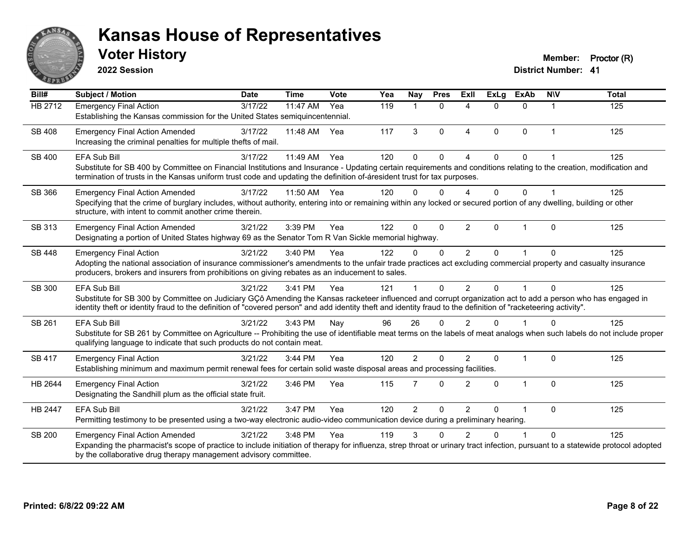

**2022 Session**

**District Number: 41 Voter History Member: Proctor (R)** 

| Bill#          | <b>Subject / Motion</b>                                                                                                                                                                                                                                                                                                                               | <b>Date</b> | <b>Time</b> | Vote | Yea | <b>Nay</b>     | <b>Pres</b>  | <b>Exll</b>            | <b>ExLg</b> | <b>ExAb</b>  | <b>NIV</b>     | <b>Total</b> |
|----------------|-------------------------------------------------------------------------------------------------------------------------------------------------------------------------------------------------------------------------------------------------------------------------------------------------------------------------------------------------------|-------------|-------------|------|-----|----------------|--------------|------------------------|-------------|--------------|----------------|--------------|
| <b>HB 2712</b> | <b>Emergency Final Action</b><br>Establishing the Kansas commission for the United States semiquincentennial.                                                                                                                                                                                                                                         | 3/17/22     | 11:47 AM    | Yea  | 119 | 1              | $\Omega$     | $\boldsymbol{\Lambda}$ | $\Omega$    | $\Omega$     | $\mathbf 1$    | 125          |
| <b>SB 408</b>  | <b>Emergency Final Action Amended</b><br>Increasing the criminal penalties for multiple thefts of mail.                                                                                                                                                                                                                                               | 3/17/22     | 11:48 AM    | Yea  | 117 | 3              | $\Omega$     | $\overline{4}$         | $\Omega$    | $\mathbf{0}$ | $\overline{1}$ | 125          |
| SB 400         | EFA Sub Bill<br>Substitute for SB 400 by Committee on Financial Institutions and Insurance - Updating certain requirements and conditions relating to the creation, modification and<br>termination of trusts in the Kansas uniform trust code and updating the definition of-áresident trust for tax purposes.                                       | 3/17/22     | 11:49 AM    | Yea  | 120 | $\Omega$       | $\Omega$     |                        | 0           | $\mathbf{0}$ |                | 125          |
| SB 366         | <b>Emergency Final Action Amended</b><br>Specifying that the crime of burglary includes, without authority, entering into or remaining within any locked or secured portion of any dwelling, building or other<br>structure, with intent to commit another crime therein.                                                                             | 3/17/22     | 11:50 AM    | Yea  | 120 | $\Omega$       | $\Omega$     | Δ                      | 0           | $\Omega$     |                | 125          |
| SB 313         | <b>Emergency Final Action Amended</b><br>Designating a portion of United States highway 69 as the Senator Tom R Van Sickle memorial highway.                                                                                                                                                                                                          | 3/21/22     | 3:39 PM     | Yea  | 122 | $\Omega$       | $\Omega$     | 2                      | $\Omega$    | 1            | $\mathbf{0}$   | 125          |
| <b>SB 448</b>  | <b>Emergency Final Action</b><br>Adopting the national association of insurance commissioner's amendments to the unfair trade practices act excluding commercial property and casualty insurance<br>producers, brokers and insurers from prohibitions on giving rebates as an inducement to sales.                                                    | 3/21/22     | 3:40 PM     | Yea  | 122 | $\Omega$       | $\Omega$     | 2                      | $\Omega$    |              | $\Omega$       | 125          |
| <b>SB 300</b>  | <b>EFA Sub Bill</b><br>Substitute for SB 300 by Committee on Judiciary GÇô Amending the Kansas racketeer influenced and corrupt organization act to add a person who has engaged in<br>identity theft or identity fraud to the definition of "covered person" and add identity theft and identity fraud to the definition of "racketeering activity". | 3/21/22     | 3:41 PM     | Yea  | 121 |                | $\Omega$     | $\mathfrak{p}$         | 0           |              | $\Omega$       | 125          |
| SB 261         | <b>EFA Sub Bill</b><br>Substitute for SB 261 by Committee on Agriculture -- Prohibiting the use of identifiable meat terms on the labels of meat analogs when such labels do not include proper<br>qualifying language to indicate that such products do not contain meat.                                                                            | 3/21/22     | $3:43$ PM   | Nay  | 96  | 26             | $\Omega$     | $\mathfrak{p}$         | 0           |              | $\Omega$       | 125          |
| <b>SB 417</b>  | <b>Emergency Final Action</b><br>Establishing minimum and maximum permit renewal fees for certain solid waste disposal areas and processing facilities.                                                                                                                                                                                               | 3/21/22     | 3:44 PM     | Yea  | 120 | $\overline{2}$ | $\Omega$     | $\mathfrak{p}$         | $\Omega$    | $\mathbf{1}$ | $\mathbf 0$    | 125          |
| HB 2644        | <b>Emergency Final Action</b><br>Designating the Sandhill plum as the official state fruit.                                                                                                                                                                                                                                                           | 3/21/22     | 3:46 PM     | Yea  | 115 | $\overline{7}$ | $\Omega$     | $\overline{2}$         | $\Omega$    | $\mathbf{1}$ | $\mathbf{0}$   | 125          |
| <b>HB 2447</b> | EFA Sub Bill<br>Permitting testimony to be presented using a two-way electronic audio-video communication device during a preliminary hearing.                                                                                                                                                                                                        | 3/21/22     | 3:47 PM     | Yea  | 120 | $\overline{2}$ | $\mathbf{0}$ | 2                      | $\Omega$    |              | $\mathbf{0}$   | 125          |
| <b>SB 200</b>  | <b>Emergency Final Action Amended</b><br>Expanding the pharmacist's scope of practice to include initiation of therapy for influenza, strep throat or urinary tract infection, pursuant to a statewide protocol adopted<br>by the collaborative drug therapy management advisory committee.                                                           | 3/21/22     | 3:48 PM     | Yea  | 119 | 3              | ∩            | 2                      | U           |              | $\Omega$       | 125          |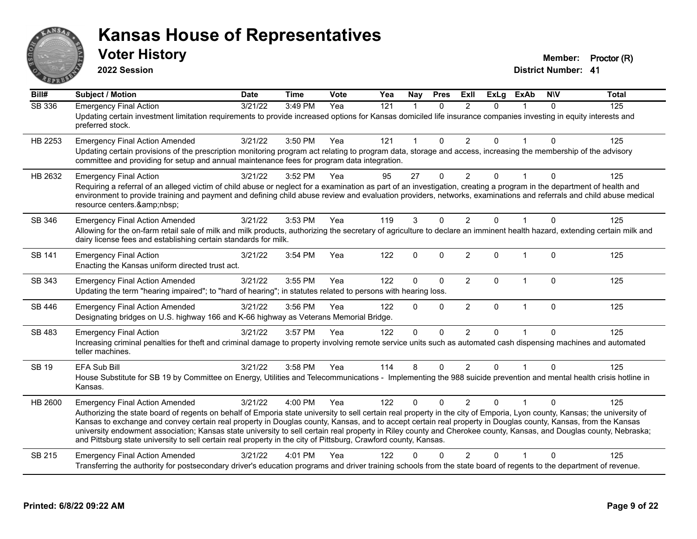

**2022 Session**

**Voter History Member: Proctor (R)** 

| Bill#         | <b>Subject / Motion</b>                                                                                                                                                                                                                                                                                                                                                                                                                                                                                                                                                                                                                                                      | <b>Date</b> | <b>Time</b> | Vote | Yea | Nay          | <b>Pres</b>  | ExII           | <b>ExLg</b> | <b>ExAb</b>    | <b>NIV</b>   | <b>Total</b> |
|---------------|------------------------------------------------------------------------------------------------------------------------------------------------------------------------------------------------------------------------------------------------------------------------------------------------------------------------------------------------------------------------------------------------------------------------------------------------------------------------------------------------------------------------------------------------------------------------------------------------------------------------------------------------------------------------------|-------------|-------------|------|-----|--------------|--------------|----------------|-------------|----------------|--------------|--------------|
| <b>SB 336</b> | <b>Emergency Final Action</b><br>Updating certain investment limitation requirements to provide increased options for Kansas domiciled life insurance companies investing in equity interests and<br>preferred stock.                                                                                                                                                                                                                                                                                                                                                                                                                                                        | 3/21/22     | 3:49 PM     | Yea  | 121 | 1            | $\Omega$     | $\mathfrak{p}$ | $\Omega$    |                | $\Omega$     | 125          |
| HB 2253       | <b>Emergency Final Action Amended</b><br>Updating certain provisions of the prescription monitoring program act relating to program data, storage and access, increasing the membership of the advisory<br>committee and providing for setup and annual maintenance fees for program data integration.                                                                                                                                                                                                                                                                                                                                                                       | 3/21/22     | 3:50 PM     | Yea  | 121 | 1            | $\mathbf 0$  | $\overline{2}$ | 0           |                | $\mathbf{0}$ | 125          |
| HB 2632       | <b>Emergency Final Action</b><br>Requiring a referral of an alleged victim of child abuse or neglect for a examination as part of an investigation, creating a program in the department of health and<br>environment to provide training and payment and defining child abuse review and evaluation providers, networks, examinations and referrals and child abuse medical<br>resource centers.                                                                                                                                                                                                                                                                            | 3/21/22     | 3:52 PM     | Yea  | 95  | 27           | 0            | 2              | 0           |                | $\Omega$     | 125          |
| SB 346        | <b>Emergency Final Action Amended</b><br>Allowing for the on-farm retail sale of milk and milk products, authorizing the secretary of agriculture to declare an imminent health hazard, extending certain milk and<br>dairy license fees and establishing certain standards for milk.                                                                                                                                                                                                                                                                                                                                                                                        | 3/21/22     | 3:53 PM     | Yea  | 119 | 3            | $\mathbf{0}$ | $\overline{2}$ | 0           |                | $\Omega$     | 125          |
| SB 141        | <b>Emergency Final Action</b><br>Enacting the Kansas uniform directed trust act.                                                                                                                                                                                                                                                                                                                                                                                                                                                                                                                                                                                             | 3/21/22     | 3:54 PM     | Yea  | 122 | $\mathbf 0$  | $\mathbf{0}$ | $\overline{2}$ | $\Omega$    | $\overline{1}$ | $\mathbf{0}$ | 125          |
| SB 343        | <b>Emergency Final Action Amended</b><br>Updating the term "hearing impaired"; to "hard of hearing"; in statutes related to persons with hearing loss.                                                                                                                                                                                                                                                                                                                                                                                                                                                                                                                       | 3/21/22     | 3:55 PM     | Yea  | 122 | 0            | $\mathbf{0}$ | $\overline{2}$ | 0           | 1              | $\mathbf 0$  | 125          |
| SB 446        | <b>Emergency Final Action Amended</b><br>Designating bridges on U.S. highway 166 and K-66 highway as Veterans Memorial Bridge.                                                                                                                                                                                                                                                                                                                                                                                                                                                                                                                                               | 3/21/22     | 3:56 PM     | Yea  | 122 | $\mathbf{0}$ | $\mathbf{0}$ | $\overline{2}$ | 0           | $\mathbf{1}$   | $\pmb{0}$    | 125          |
| SB 483        | <b>Emergency Final Action</b><br>Increasing criminal penalties for theft and criminal damage to property involving remote service units such as automated cash dispensing machines and automated<br>teller machines.                                                                                                                                                                                                                                                                                                                                                                                                                                                         | 3/21/22     | 3:57 PM     | Yea  | 122 | $\mathbf 0$  | $\Omega$     | $\overline{2}$ | $\Omega$    |                | $\mathbf{0}$ | 125          |
| SB 19         | EFA Sub Bill<br>House Substitute for SB 19 by Committee on Energy, Utilities and Telecommunications - Implementing the 988 suicide prevention and mental health crisis hotline in<br>Kansas.                                                                                                                                                                                                                                                                                                                                                                                                                                                                                 | 3/21/22     | 3:58 PM     | Yea  | 114 | 8            | $\mathbf 0$  | $\overline{2}$ | 0           |                | $\Omega$     | 125          |
| HB 2600       | <b>Emergency Final Action Amended</b><br>Authorizing the state board of regents on behalf of Emporia state university to sell certain real property in the city of Emporia, Lyon county, Kansas; the university of<br>Kansas to exchange and convey certain real property in Douglas county, Kansas, and to accept certain real property in Douglas county, Kansas, from the Kansas<br>university endowment association; Kansas state university to sell certain real property in Riley county and Cherokee county, Kansas, and Douglas county, Nebraska;<br>and Pittsburg state university to sell certain real property in the city of Pittsburg, Crawford county, Kansas. | 3/21/22     | 4:00 PM     | Yea  | 122 | $\Omega$     | $\Omega$     | 2              | $\Omega$    |                | $\Omega$     | 125          |
| SB 215        | <b>Emergency Final Action Amended</b><br>Transferring the authority for postsecondary driver's education programs and driver training schools from the state board of regents to the department of revenue.                                                                                                                                                                                                                                                                                                                                                                                                                                                                  | 3/21/22     | 4:01 PM     | Yea  | 122 | ŋ            |              | $\mathcal{P}$  | 0           |                | $\Omega$     | 125          |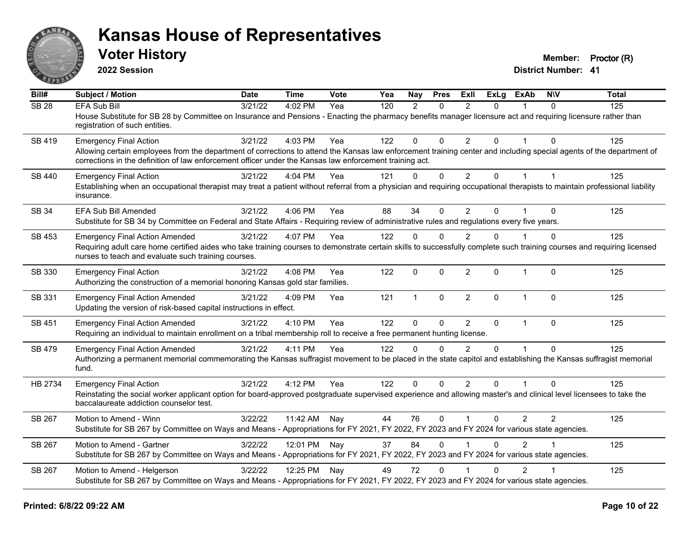

**2022 Session**

**Voter History Member: Proctor (R)** 

| Bill#            | Subject / Motion                                                                                                                                                                                                                                                                | <b>Date</b> | <b>Time</b>  | <b>Vote</b> | Yea | <b>Nay</b>    | <b>Pres</b>  | ExII           | <b>ExLg</b>    | <b>ExAb</b>    | <b>NIV</b>     | <b>Total</b> |
|------------------|---------------------------------------------------------------------------------------------------------------------------------------------------------------------------------------------------------------------------------------------------------------------------------|-------------|--------------|-------------|-----|---------------|--------------|----------------|----------------|----------------|----------------|--------------|
| SB <sub>28</sub> | <b>EFA Sub Bill</b>                                                                                                                                                                                                                                                             | 3/21/22     | 4:02 PM      | Yea         | 120 | $\mathcal{P}$ | $\Omega$     | $\mathcal{P}$  | $\Omega$       |                | $\Omega$       | 125          |
|                  | House Substitute for SB 28 by Committee on Insurance and Pensions - Enacting the pharmacy benefits manager licensure act and requiring licensure rather than<br>registration of such entities.                                                                                  |             |              |             |     |               |              |                |                |                |                |              |
| SB 419           | <b>Emergency Final Action</b>                                                                                                                                                                                                                                                   | 3/21/22     | 4:03 PM      | Yea         | 122 | 0             | $\mathbf{0}$ | $\overline{2}$ | $\Omega$       |                | $\Omega$       | 125          |
|                  | Allowing certain employees from the department of corrections to attend the Kansas law enforcement training center and including special agents of the department of<br>corrections in the definition of law enforcement officer under the Kansas law enforcement training act. |             |              |             |     |               |              |                |                |                |                |              |
| SB 440           | <b>Emergency Final Action</b>                                                                                                                                                                                                                                                   | 3/21/22     | 4:04 PM      | Yea         | 121 | $\Omega$      | $\mathbf 0$  | $\overline{2}$ | $\overline{0}$ | $\mathbf{1}$   | $\mathbf{1}$   | 125          |
|                  | Establishing when an occupational therapist may treat a patient without referral from a physician and requiring occupational therapists to maintain professional liability<br>insurance.                                                                                        |             |              |             |     |               |              |                |                |                |                |              |
| SB 34            | <b>EFA Sub Bill Amended</b>                                                                                                                                                                                                                                                     | 3/21/22     | 4:06 PM      | Yea         | 88  | 34            | $\Omega$     | $\overline{2}$ | $\Omega$       |                | $\Omega$       | 125          |
|                  | Substitute for SB 34 by Committee on Federal and State Affairs - Requiring review of administrative rules and regulations every five years.                                                                                                                                     |             |              |             |     |               |              |                |                |                |                |              |
| <b>SB 453</b>    | <b>Emergency Final Action Amended</b>                                                                                                                                                                                                                                           | 3/21/22     | 4:07 PM      | Yea         | 122 | $\Omega$      | $\mathbf{0}$ | $\overline{2}$ | $\Omega$       |                | $\Omega$       | 125          |
|                  | Requiring adult care home certified aides who take training courses to demonstrate certain skills to successfully complete such training courses and requiring licensed<br>nurses to teach and evaluate such training courses.                                                  |             |              |             |     |               |              |                |                |                |                |              |
| SB 330           | <b>Emergency Final Action</b><br>Authorizing the construction of a memorial honoring Kansas gold star families.                                                                                                                                                                 | 3/21/22     | 4:08 PM      | Yea         | 122 | $\mathbf{0}$  | $\mathbf{0}$ | $\overline{2}$ | $\mathbf{0}$   | $\mathbf{1}$   | $\Omega$       | 125          |
| SB 331           | <b>Emergency Final Action Amended</b><br>Updating the version of risk-based capital instructions in effect.                                                                                                                                                                     | 3/21/22     | 4:09 PM      | Yea         | 121 | $\mathbf{1}$  | $\mathbf{0}$ | $\overline{2}$ | 0              | $\mathbf 1$    | $\Omega$       | 125          |
| SB 451           | <b>Emergency Final Action Amended</b>                                                                                                                                                                                                                                           | 3/21/22     | 4:10 PM      | Yea         | 122 | $\mathbf 0$   | $\mathbf 0$  | $\overline{2}$ | $\mathbf{0}$   | $\mathbf{1}$   | $\Omega$       | 125          |
|                  | Requiring an individual to maintain enrollment on a tribal membership roll to receive a free permanent hunting license.                                                                                                                                                         |             |              |             |     |               |              |                |                |                |                |              |
| SB 479           | <b>Emergency Final Action Amended</b>                                                                                                                                                                                                                                           | 3/21/22     | 4:11 PM      | Yea         | 122 | $\Omega$      | $\Omega$     | $\overline{2}$ | $\Omega$       |                | $\Omega$       | 125          |
|                  | Authorizing a permanent memorial commemorating the Kansas suffragist movement to be placed in the state capitol and establishing the Kansas suffragist memorial<br>fund.                                                                                                        |             |              |             |     |               |              |                |                |                |                |              |
| HB 2734          | <b>Emergency Final Action</b>                                                                                                                                                                                                                                                   | 3/21/22     | 4:12 PM      | Yea         | 122 | $\Omega$      | $\Omega$     | $\overline{2}$ | $\Omega$       |                | $\Omega$       | 125          |
|                  | Reinstating the social worker applicant option for board-approved postgraduate supervised experience and allowing master's and clinical level licensees to take the<br>baccalaureate addiction counselor test.                                                                  |             |              |             |     |               |              |                |                |                |                |              |
| SB 267           | Motion to Amend - Winn                                                                                                                                                                                                                                                          | 3/22/22     | 11:42 AM     | Nay         | 44  | 76            | $\mathbf{0}$ | $\mathbf{1}$   | 0              | 2              | $\overline{2}$ | 125          |
|                  | Substitute for SB 267 by Committee on Ways and Means - Appropriations for FY 2021, FY 2022, FY 2023 and FY 2024 for various state agencies.                                                                                                                                     |             |              |             |     |               |              |                |                |                |                |              |
| SB 267           | Motion to Amend - Gartner                                                                                                                                                                                                                                                       | 3/22/22     | 12:01 PM Nay |             | 37  | 84            | $\Omega$     |                | $\Omega$       | 2              |                | 125          |
|                  | Substitute for SB 267 by Committee on Ways and Means - Appropriations for FY 2021, FY 2022, FY 2023 and FY 2024 for various state agencies.                                                                                                                                     |             |              |             |     |               |              |                |                |                |                |              |
| SB 267           | Motion to Amend - Helgerson                                                                                                                                                                                                                                                     | 3/22/22     | 12:25 PM Nay |             | 49  | 72            | $\Omega$     |                | $\Omega$       | $\overline{2}$ |                | 125          |
|                  | Substitute for SB 267 by Committee on Ways and Means - Appropriations for FY 2021, FY 2022, FY 2023 and FY 2024 for various state agencies.                                                                                                                                     |             |              |             |     |               |              |                |                |                |                |              |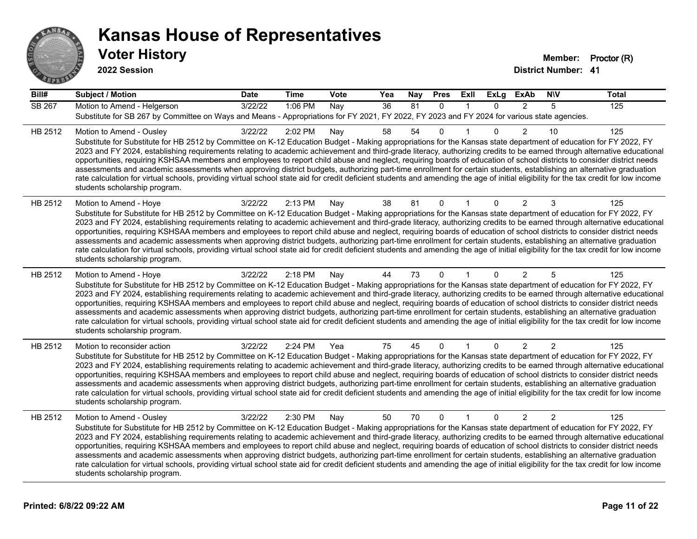

**2022 Session**

| Bill#         | Subject / Motion                                                                                                                                                                                                                                                                                                                                                                                                                                                                                                                                                                                                                                                                                                                                                                                                                                                                                                                                    | <b>Date</b> | <b>Time</b> | Vote | Yea             | <b>Nay</b> | <b>Pres</b>  | ExII         | <b>ExLg</b> | <b>ExAb</b>    | <b>NIV</b>     | <b>Total</b> |
|---------------|-----------------------------------------------------------------------------------------------------------------------------------------------------------------------------------------------------------------------------------------------------------------------------------------------------------------------------------------------------------------------------------------------------------------------------------------------------------------------------------------------------------------------------------------------------------------------------------------------------------------------------------------------------------------------------------------------------------------------------------------------------------------------------------------------------------------------------------------------------------------------------------------------------------------------------------------------------|-------------|-------------|------|-----------------|------------|--------------|--------------|-------------|----------------|----------------|--------------|
| <b>SB 267</b> | Motion to Amend - Helgerson<br>Substitute for SB 267 by Committee on Ways and Means - Appropriations for FY 2021, FY 2022, FY 2023 and FY 2024 for various state agencies.                                                                                                                                                                                                                                                                                                                                                                                                                                                                                                                                                                                                                                                                                                                                                                          | 3/22/22     | 1:06 PM     | Nay  | $\overline{36}$ | 81         | $\mathbf{0}$ | 1            | $\Omega$    | 2              | 5              | 125          |
| HB 2512       | Motion to Amend - Ousley<br>Substitute for Substitute for HB 2512 by Committee on K-12 Education Budget - Making appropriations for the Kansas state department of education for FY 2022, FY<br>2023 and FY 2024, establishing requirements relating to academic achievement and third-grade literacy, authorizing credits to be earned through alternative educational<br>opportunities, requiring KSHSAA members and employees to report child abuse and neglect, requiring boards of education of school districts to consider district needs<br>assessments and academic assessments when approving district budgets, authorizing part-time enrollment for certain students, establishing an alternative graduation<br>rate calculation for virtual schools, providing virtual school state aid for credit deficient students and amending the age of initial eligibility for the tax credit for low income<br>students scholarship program.    | 3/22/22     | 2:02 PM     | Nay  | 58              | 54         | 0            |              | $\Omega$    | $\overline{2}$ | 10             | 125          |
| HB 2512       | Motion to Amend - Hoye<br>Substitute for Substitute for HB 2512 by Committee on K-12 Education Budget - Making appropriations for the Kansas state department of education for FY 2022, FY<br>2023 and FY 2024, establishing requirements relating to academic achievement and third-grade literacy, authorizing credits to be earned through alternative educational<br>opportunities, requiring KSHSAA members and employees to report child abuse and neglect, requiring boards of education of school districts to consider district needs<br>assessments and academic assessments when approving district budgets, authorizing part-time enrollment for certain students, establishing an alternative graduation<br>rate calculation for virtual schools, providing virtual school state aid for credit deficient students and amending the age of initial eligibility for the tax credit for low income<br>students scholarship program.      | 3/22/22     | 2:13 PM     | Nay  | 38              | 81         | $\mathbf{0}$ |              | $\Omega$    | 2              | 3              | 125          |
| HB 2512       | Motion to Amend - Hoye<br>Substitute for Substitute for HB 2512 by Committee on K-12 Education Budget - Making appropriations for the Kansas state department of education for FY 2022, FY<br>2023 and FY 2024, establishing requirements relating to academic achievement and third-grade literacy, authorizing credits to be earned through alternative educational<br>opportunities, requiring KSHSAA members and employees to report child abuse and neglect, requiring boards of education of school districts to consider district needs<br>assessments and academic assessments when approving district budgets, authorizing part-time enrollment for certain students, establishing an alternative graduation<br>rate calculation for virtual schools, providing virtual school state aid for credit deficient students and amending the age of initial eligibility for the tax credit for low income<br>students scholarship program.      | 3/22/22     | 2:18 PM     | Nav  | 44              | 73         | $\mathbf{0}$ |              | $\Omega$    | 2              | 5              | 125          |
| HB 2512       | Motion to reconsider action<br>Substitute for Substitute for HB 2512 by Committee on K-12 Education Budget - Making appropriations for the Kansas state department of education for FY 2022, FY<br>2023 and FY 2024, establishing requirements relating to academic achievement and third-grade literacy, authorizing credits to be earned through alternative educational<br>opportunities, requiring KSHSAA members and employees to report child abuse and neglect, requiring boards of education of school districts to consider district needs<br>assessments and academic assessments when approving district budgets, authorizing part-time enrollment for certain students, establishing an alternative graduation<br>rate calculation for virtual schools, providing virtual school state aid for credit deficient students and amending the age of initial eligibility for the tax credit for low income<br>students scholarship program. | 3/22/22     | 2:24 PM     | Yea  | 75              | 45         | $\mathbf{0}$ |              | $\Omega$    | 2              | $\overline{2}$ | 125          |
| HB 2512       | Motion to Amend - Ousley<br>Substitute for Substitute for HB 2512 by Committee on K-12 Education Budget - Making appropriations for the Kansas state department of education for FY 2022, FY<br>2023 and FY 2024, establishing requirements relating to academic achievement and third-grade literacy, authorizing credits to be earned through alternative educational<br>opportunities, requiring KSHSAA members and employees to report child abuse and neglect, requiring boards of education of school districts to consider district needs<br>assessments and academic assessments when approving district budgets, authorizing part-time enrollment for certain students, establishing an alternative graduation<br>rate calculation for virtual schools, providing virtual school state aid for credit deficient students and amending the age of initial eligibility for the tax credit for low income<br>students scholarship program.    | 3/22/22     | 2:30 PM     | Nay  | 50              | 70         | $\mathbf{0}$ | $\mathbf{1}$ | $\Omega$    | $\overline{2}$ | $\overline{2}$ | 125          |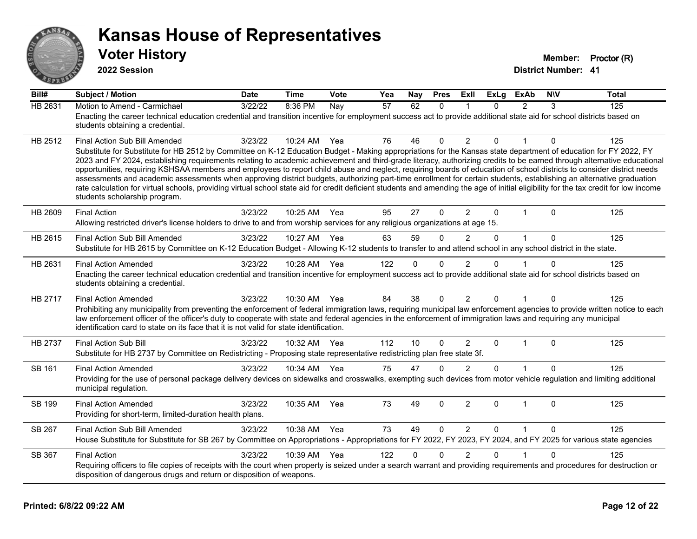

**2022 Session**

| Bill#          | <b>Subject / Motion</b>                                                                                                                                                                                                                                                                                                                                                                                                                                                                                                                                                                                                                                                                                                                                                                                                                                                                                                                               | <b>Date</b> | <b>Time</b> | Vote | Yea | Nay      | <b>Pres</b>  | Exll           | <b>ExLg</b>  | <b>ExAb</b>    | <b>NIV</b> | <b>Total</b> |
|----------------|-------------------------------------------------------------------------------------------------------------------------------------------------------------------------------------------------------------------------------------------------------------------------------------------------------------------------------------------------------------------------------------------------------------------------------------------------------------------------------------------------------------------------------------------------------------------------------------------------------------------------------------------------------------------------------------------------------------------------------------------------------------------------------------------------------------------------------------------------------------------------------------------------------------------------------------------------------|-------------|-------------|------|-----|----------|--------------|----------------|--------------|----------------|------------|--------------|
| <b>HB 2631</b> | Motion to Amend - Carmichael<br>Enacting the career technical education credential and transition incentive for employment success act to provide additional state aid for school districts based on<br>students obtaining a credential.                                                                                                                                                                                                                                                                                                                                                                                                                                                                                                                                                                                                                                                                                                              | 3/22/22     | 8:36 PM     | Nay  | 57  | 62       | $\mathbf{0}$ | $\mathbf 1$    | 0            | $\overline{2}$ | 3          | 125          |
| HB 2512        | Final Action Sub Bill Amended<br>Substitute for Substitute for HB 2512 by Committee on K-12 Education Budget - Making appropriations for the Kansas state department of education for FY 2022, FY<br>2023 and FY 2024, establishing requirements relating to academic achievement and third-grade literacy, authorizing credits to be earned through alternative educational<br>opportunities, requiring KSHSAA members and employees to report child abuse and neglect, requiring boards of education of school districts to consider district needs<br>assessments and academic assessments when approving district budgets, authorizing part-time enrollment for certain students, establishing an alternative graduation<br>rate calculation for virtual schools, providing virtual school state aid for credit deficient students and amending the age of initial eligibility for the tax credit for low income<br>students scholarship program. | 3/23/22     | 10:24 AM    | Yea  | 76  | 46       | $\mathbf{0}$ | 2              | $\Omega$     | 1              | 0          | 125          |
| HB 2609        | <b>Final Action</b><br>Allowing restricted driver's license holders to drive to and from worship services for any religious organizations at age 15.                                                                                                                                                                                                                                                                                                                                                                                                                                                                                                                                                                                                                                                                                                                                                                                                  | 3/23/22     | 10:25 AM    | Yea  | 95  | 27       | $\Omega$     | $\overline{2}$ | $\Omega$     | $\mathbf 1$    | $\Omega$   | 125          |
| HB 2615        | Final Action Sub Bill Amended<br>Substitute for HB 2615 by Committee on K-12 Education Budget - Allowing K-12 students to transfer to and attend school in any school district in the state.                                                                                                                                                                                                                                                                                                                                                                                                                                                                                                                                                                                                                                                                                                                                                          | 3/23/22     | 10:27 AM    | Yea  | 63  | 59       | $\mathbf{0}$ | $\overline{2}$ | $\Omega$     | $\mathbf{1}$   | $\Omega$   | 125          |
| HB 2631        | <b>Final Action Amended</b><br>Enacting the career technical education credential and transition incentive for employment success act to provide additional state aid for school districts based on<br>students obtaining a credential.                                                                                                                                                                                                                                                                                                                                                                                                                                                                                                                                                                                                                                                                                                               | 3/23/22     | 10:28 AM    | Yea  | 122 | 0        | 0            | 2              | 0            |                | $\Omega$   | 125          |
| HB 2717        | <b>Final Action Amended</b><br>Prohibiting any municipality from preventing the enforcement of federal immigration laws, requiring municipal law enforcement agencies to provide written notice to each<br>law enforcement officer of the officer's duty to cooperate with state and federal agencies in the enforcement of immigration laws and requiring any municipal<br>identification card to state on its face that it is not valid for state identification.                                                                                                                                                                                                                                                                                                                                                                                                                                                                                   | 3/23/22     | 10:30 AM    | Yea  | 84  | 38       | $\mathbf{0}$ | $\overline{2}$ | $\mathbf{0}$ | $\mathbf{1}$   | $\Omega$   | 125          |
| HB 2737        | <b>Final Action Sub Bill</b><br>Substitute for HB 2737 by Committee on Redistricting - Proposing state representative redistricting plan free state 3f.                                                                                                                                                                                                                                                                                                                                                                                                                                                                                                                                                                                                                                                                                                                                                                                               | 3/23/22     | 10:32 AM    | Yea  | 112 | 10       | $\Omega$     | $\overline{2}$ | $\mathbf{0}$ | $\mathbf{1}$   | $\Omega$   | 125          |
| SB 161         | <b>Final Action Amended</b><br>Providing for the use of personal package delivery devices on sidewalks and crosswalks, exempting such devices from motor vehicle regulation and limiting additional<br>municipal regulation.                                                                                                                                                                                                                                                                                                                                                                                                                                                                                                                                                                                                                                                                                                                          | 3/23/22     | 10:34 AM    | Yea  | 75  | 47       | $\mathbf{0}$ | 2              | $\Omega$     |                | $\Omega$   | 125          |
| SB 199         | <b>Final Action Amended</b><br>Providing for short-term, limited-duration health plans.                                                                                                                                                                                                                                                                                                                                                                                                                                                                                                                                                                                                                                                                                                                                                                                                                                                               | 3/23/22     | 10:35 AM    | Yea  | 73  | 49       | $\mathbf{0}$ | $\overline{2}$ | $\mathbf{0}$ | $\mathbf{1}$   | $\Omega$   | 125          |
| SB 267         | <b>Final Action Sub Bill Amended</b><br>House Substitute for Substitute for SB 267 by Committee on Appropriations - Appropriations for FY 2022, FY 2023, FY 2024, and FY 2025 for various state agencies                                                                                                                                                                                                                                                                                                                                                                                                                                                                                                                                                                                                                                                                                                                                              | 3/23/22     | 10:38 AM    | Yea  | 73  | 49       | $\mathbf{0}$ | 2              | $\mathbf{0}$ | $\mathbf{1}$   | $\Omega$   | 125          |
| SB 367         | <b>Final Action</b><br>Requiring officers to file copies of receipts with the court when property is seized under a search warrant and providing requirements and procedures for destruction or<br>disposition of dangerous drugs and return or disposition of weapons.                                                                                                                                                                                                                                                                                                                                                                                                                                                                                                                                                                                                                                                                               | 3/23/22     | 10:39 AM    | Yea  | 122 | $\Omega$ | $\Omega$     | $\overline{2}$ | $\Omega$     |                | $\Omega$   | 125          |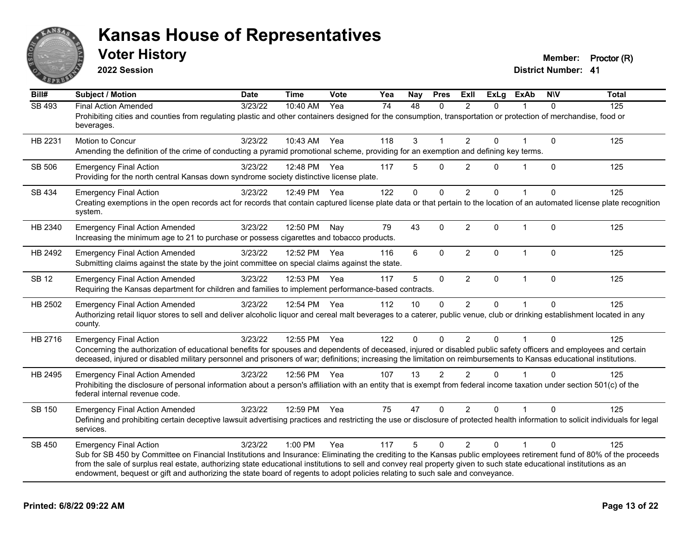

**2022 Session**

**Voter History Member: Proctor (R)** 

**Bill# Subject / Motion Date Time Vote Yea Nay Pres Exll ExLg ExAb N\V Total District Number: 41**

| SB 493       | <b>Final Action Amended</b>                                                                                                                                                                                                                                                                                                              | 3/23/22 | 10:40 AM Yea |     | 74  | 48           | $\Omega$       | $\overline{2}$ | $\Omega$     |                | $\Omega$     | 125 |
|--------------|------------------------------------------------------------------------------------------------------------------------------------------------------------------------------------------------------------------------------------------------------------------------------------------------------------------------------------------|---------|--------------|-----|-----|--------------|----------------|----------------|--------------|----------------|--------------|-----|
|              | Prohibiting cities and counties from regulating plastic and other containers designed for the consumption, transportation or protection of merchandise, food or<br>beverages.                                                                                                                                                            |         |              |     |     |              |                |                |              |                |              |     |
| HB 2231      | Motion to Concur                                                                                                                                                                                                                                                                                                                         | 3/23/22 | 10:43 AM     | Yea | 118 | 3            | $\mathbf 1$    | $\overline{2}$ | 0            |                | $\mathbf 0$  | 125 |
|              | Amending the definition of the crime of conducting a pyramid promotional scheme, providing for an exemption and defining key terms.                                                                                                                                                                                                      |         |              |     |     |              |                |                |              |                |              |     |
| SB 506       | <b>Emergency Final Action</b>                                                                                                                                                                                                                                                                                                            | 3/23/22 | 12:48 PM Yea |     | 117 | 5            | $\Omega$       | $\overline{2}$ | $\Omega$     |                | $\mathbf 0$  | 125 |
|              | Providing for the north central Kansas down syndrome society distinctive license plate.                                                                                                                                                                                                                                                  |         |              |     |     |              |                |                |              |                |              |     |
| SB 434       | <b>Emergency Final Action</b>                                                                                                                                                                                                                                                                                                            | 3/23/22 | 12:49 PM Yea |     | 122 | $\mathbf{0}$ | $\mathbf{0}$   | $\overline{2}$ | $\Omega$     | $\mathbf{1}$   | $\Omega$     | 125 |
|              | Creating exemptions in the open records act for records that contain captured license plate data or that pertain to the location of an automated license plate recognition<br>system.                                                                                                                                                    |         |              |     |     |              |                |                |              |                |              |     |
| HB 2340      | <b>Emergency Final Action Amended</b>                                                                                                                                                                                                                                                                                                    | 3/23/22 | 12:50 PM     | Nav | 79  | 43           | $\mathbf{0}$   | $\overline{2}$ | 0            | -1             | $\mathbf{0}$ | 125 |
|              | Increasing the minimum age to 21 to purchase or possess cigarettes and tobacco products.                                                                                                                                                                                                                                                 |         |              |     |     |              |                |                |              |                |              |     |
| HB 2492      | <b>Emergency Final Action Amended</b>                                                                                                                                                                                                                                                                                                    | 3/23/22 | 12:52 PM Yea |     | 116 | 6            | $\mathbf{0}$   | $\overline{2}$ | $\mathbf{0}$ | $\mathbf{1}$   | $\mathbf{0}$ | 125 |
|              | Submitting claims against the state by the joint committee on special claims against the state.                                                                                                                                                                                                                                          |         |              |     |     |              |                |                |              |                |              |     |
| <b>SB 12</b> | <b>Emergency Final Action Amended</b>                                                                                                                                                                                                                                                                                                    | 3/23/22 | 12:53 PM Yea |     | 117 | 5            | $\mathbf 0$    | $\overline{2}$ | $\Omega$     | $\overline{1}$ | $\mathbf{0}$ | 125 |
|              | Requiring the Kansas department for children and families to implement performance-based contracts.                                                                                                                                                                                                                                      |         |              |     |     |              |                |                |              |                |              |     |
| HB 2502      | <b>Emergency Final Action Amended</b>                                                                                                                                                                                                                                                                                                    | 3/23/22 | 12:54 PM Yea |     | 112 | 10           | $\mathbf{0}$   | $\overline{2}$ | $\mathbf 0$  | $\mathbf{1}$   | $\Omega$     | 125 |
|              | Authorizing retail liquor stores to sell and deliver alcoholic liquor and cereal malt beverages to a caterer, public venue, club or drinking establishment located in any<br>county.                                                                                                                                                     |         |              |     |     |              |                |                |              |                |              |     |
| HB 2716      | <b>Emergency Final Action</b>                                                                                                                                                                                                                                                                                                            | 3/23/22 | 12:55 PM Yea |     | 122 | $\Omega$     | $\Omega$       | $\overline{2}$ | $\Omega$     |                | $\Omega$     | 125 |
|              | Concerning the authorization of educational benefits for spouses and dependents of deceased, injured or disabled public safety officers and employees and certain<br>deceased, injured or disabled military personnel and prisoners of war; definitions; increasing the limitation on reimbursements to Kansas educational institutions. |         |              |     |     |              |                |                |              |                |              |     |
|              |                                                                                                                                                                                                                                                                                                                                          |         |              |     |     |              |                |                |              |                |              |     |
| HB 2495      | <b>Emergency Final Action Amended</b>                                                                                                                                                                                                                                                                                                    | 3/23/22 | 12:56 PM Yea |     | 107 | 13           | $\overline{2}$ | $\overline{2}$ | $\Omega$     |                | $\Omega$     | 125 |
|              | Prohibiting the disclosure of personal information about a person's affiliation with an entity that is exempt from federal income taxation under section 501(c) of the<br>federal internal revenue code.                                                                                                                                 |         |              |     |     |              |                |                |              |                |              |     |
| SB 150       | <b>Emergency Final Action Amended</b>                                                                                                                                                                                                                                                                                                    | 3/23/22 | 12:59 PM Yea |     | 75  | 47           | $\mathbf{0}$   | $\overline{2}$ | $\Omega$     |                | $\Omega$     | 125 |
|              | Defining and prohibiting certain deceptive lawsuit advertising practices and restricting the use or disclosure of protected health information to solicit individuals for legal<br>services.                                                                                                                                             |         |              |     |     |              |                |                |              |                |              |     |
| SB 450       | <b>Emergency Final Action</b>                                                                                                                                                                                                                                                                                                            | 3/23/22 | 1:00 PM      | Yea | 117 | 5            | $\mathbf{0}$   | $\overline{2}$ | $\Omega$     |                | $\Omega$     | 125 |
|              | Sub for SB 450 by Committee on Financial Institutions and Insurance: Eliminating the crediting to the Kansas public employees retirement fund of 80% of the proceeds                                                                                                                                                                     |         |              |     |     |              |                |                |              |                |              |     |
|              | from the sale of surplus real estate, authorizing state educational institutions to sell and convey real property given to such state educational institutions as an<br>endowment, bequest or gift and authorizing the state board of regents to adopt policies relating to such sale and conveyance.                                    |         |              |     |     |              |                |                |              |                |              |     |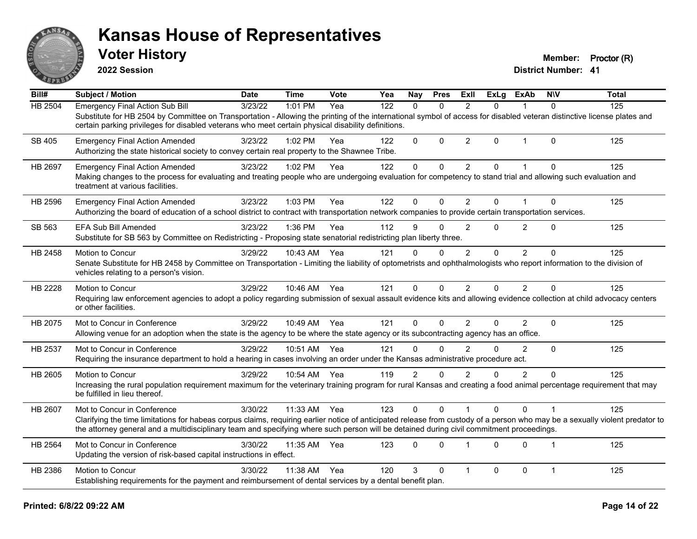

**2022 Session**

**Voter History Member: Proctor (R)** 

| Bill#          | Subject / Motion                                                                                                                                                                                                                                                                                                         | <b>Date</b> | <b>Time</b> | Vote | Yea | Nav            | <b>Pres</b> | ExII           | <b>ExLg</b> | <b>ExAb</b>    | <b>NIV</b>     | <b>Total</b> |
|----------------|--------------------------------------------------------------------------------------------------------------------------------------------------------------------------------------------------------------------------------------------------------------------------------------------------------------------------|-------------|-------------|------|-----|----------------|-------------|----------------|-------------|----------------|----------------|--------------|
| <b>HB 2504</b> | <b>Emergency Final Action Sub Bill</b>                                                                                                                                                                                                                                                                                   | 3/23/22     | 1:01 PM     | Yea  | 122 | $\Omega$       | $\Omega$    | 2              | 0           | 1              | $\Omega$       | 125          |
|                | Substitute for HB 2504 by Committee on Transportation - Allowing the printing of the international symbol of access for disabled veteran distinctive license plates and<br>certain parking privileges for disabled veterans who meet certain physical disability definitions.                                            |             |             |      |     |                |             |                |             |                |                |              |
| SB 405         | <b>Emergency Final Action Amended</b>                                                                                                                                                                                                                                                                                    | 3/23/22     | $1:02$ PM   | Yea  | 122 | 0              | $\Omega$    | $\overline{2}$ | 0           | $\mathbf{1}$   | $\Omega$       | 125          |
|                | Authorizing the state historical society to convey certain real property to the Shawnee Tribe.                                                                                                                                                                                                                           |             |             |      |     |                |             |                |             |                |                |              |
| HB 2697        | <b>Emergency Final Action Amended</b>                                                                                                                                                                                                                                                                                    | 3/23/22     | 1:02 PM     | Yea  | 122 | $\mathbf 0$    | $\Omega$    | $\overline{2}$ | 0           | 1              | $\Omega$       | 125          |
|                | Making changes to the process for evaluating and treating people who are undergoing evaluation for competency to stand trial and allowing such evaluation and<br>treatment at various facilities.                                                                                                                        |             |             |      |     |                |             |                |             |                |                |              |
| HB 2596        | <b>Emergency Final Action Amended</b>                                                                                                                                                                                                                                                                                    | 3/23/22     | 1:03 PM     | Yea  | 122 | 0              | $\Omega$    | 2              | 0           | 1              | $\Omega$       | 125          |
|                | Authorizing the board of education of a school district to contract with transportation network companies to provide certain transportation services.                                                                                                                                                                    |             |             |      |     |                |             |                |             |                |                |              |
| SB 563         | <b>EFA Sub Bill Amended</b>                                                                                                                                                                                                                                                                                              | 3/23/22     | 1:36 PM     | Yea  | 112 | 9              | $\Omega$    | $\overline{2}$ | 0           | $\overline{2}$ | $\Omega$       | 125          |
|                | Substitute for SB 563 by Committee on Redistricting - Proposing state senatorial redistricting plan liberty three.                                                                                                                                                                                                       |             |             |      |     |                |             |                |             |                |                |              |
| HB 2458        | Motion to Concur                                                                                                                                                                                                                                                                                                         | 3/29/22     | 10:43 AM    | Yea  | 121 | $\Omega$       | $\Omega$    | 2              | $\Omega$    | $\overline{2}$ | $\Omega$       | 125          |
|                | Senate Substitute for HB 2458 by Committee on Transportation - Limiting the liability of optometrists and ophthalmologists who report information to the division of<br>vehicles relating to a person's vision.                                                                                                          |             |             |      |     |                |             |                |             |                |                |              |
| HB 2228        | <b>Motion to Concur</b>                                                                                                                                                                                                                                                                                                  | 3/29/22     | 10:46 AM    | Yea  | 121 | 0              | $\Omega$    | 2              | 0           | $\overline{2}$ | $\Omega$       | 125          |
|                | Requiring law enforcement agencies to adopt a policy regarding submission of sexual assault evidence kits and allowing evidence collection at child advocacy centers<br>or other facilities.                                                                                                                             |             |             |      |     |                |             |                |             |                |                |              |
| HB 2075        | Mot to Concur in Conference                                                                                                                                                                                                                                                                                              | 3/29/22     | 10:49 AM    | Yea  | 121 | 0              | $\Omega$    | 2              | 0           | $\overline{2}$ | $\Omega$       | 125          |
|                | Allowing venue for an adoption when the state is the agency to be where the state agency or its subcontracting agency has an office.                                                                                                                                                                                     |             |             |      |     |                |             |                |             |                |                |              |
| HB 2537        | Mot to Concur in Conference                                                                                                                                                                                                                                                                                              | 3/29/22     | 10:51 AM    | Yea  | 121 | $\Omega$       | $\Omega$    | $\mathfrak{p}$ | $\Omega$    | $\overline{2}$ | $\Omega$       | 125          |
|                | Requiring the insurance department to hold a hearing in cases involving an order under the Kansas administrative procedure act.                                                                                                                                                                                          |             |             |      |     |                |             |                |             |                |                |              |
| HB 2605        | <b>Motion to Concur</b>                                                                                                                                                                                                                                                                                                  | 3/29/22     | 10:54 AM    | Yea  | 119 | $\overline{2}$ | $\Omega$    | 2              | 0           | $\mathfrak{p}$ | $\Omega$       | 125          |
|                | Increasing the rural population requirement maximum for the veterinary training program for rural Kansas and creating a food animal percentage requirement that may<br>be fulfilled in lieu thereof.                                                                                                                     |             |             |      |     |                |             |                |             |                |                |              |
| HB 2607        | Mot to Concur in Conference                                                                                                                                                                                                                                                                                              | 3/30/22     | 11:33 AM    | Yea  | 123 | 0              | $\Omega$    |                | $\Omega$    | $\Omega$       |                | 125          |
|                | Clarifying the time limitations for habeas corpus claims, requiring earlier notice of anticipated release from custody of a person who may be a sexually violent predator to<br>the attorney general and a multidisciplinary team and specifying where such person will be detained during civil commitment proceedings. |             |             |      |     |                |             |                |             |                |                |              |
| HB 2564        | Mot to Concur in Conference                                                                                                                                                                                                                                                                                              | 3/30/22     | 11:35 AM    | Yea  | 123 | 0              | $\Omega$    | $\overline{1}$ | 0           | $\Omega$       | $\overline{1}$ | 125          |
|                | Updating the version of risk-based capital instructions in effect.                                                                                                                                                                                                                                                       |             |             |      |     |                |             |                |             |                |                |              |
| HB 2386        | Motion to Concur                                                                                                                                                                                                                                                                                                         | 3/30/22     | 11:38 AM    | Yea  | 120 | 3              | $\Omega$    | 1              | 0           | $\mathbf 0$    | $\mathbf{1}$   | 125          |
|                | Establishing requirements for the payment and reimbursement of dental services by a dental benefit plan.                                                                                                                                                                                                                 |             |             |      |     |                |             |                |             |                |                |              |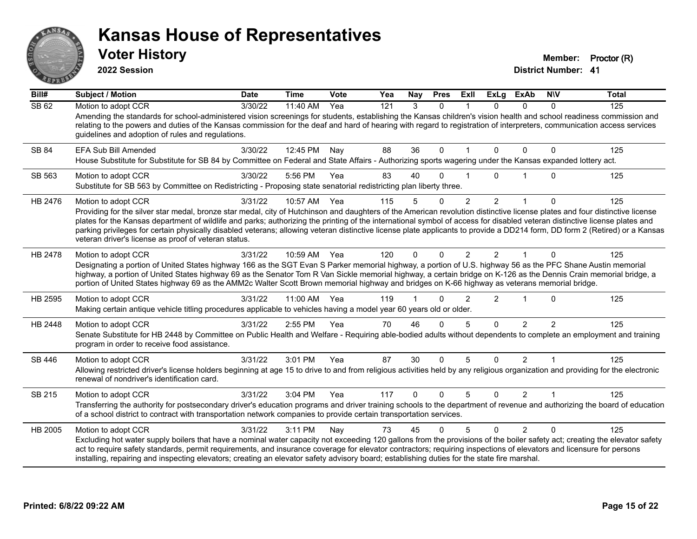

**2022 Session**

**Voter History Member: Proctor (R)** 

| Bill#        | <b>Subject / Motion</b>                                                                                                                                                                                                                                                                                                                                                                                                                                                                                                                                                                          | <b>Date</b> | <b>Time</b> | Vote | Yea | Nay          | <b>Pres</b>  | ExII          | <b>ExLg</b>    | <b>ExAb</b>    | <b>NIV</b>    | <b>Total</b> |
|--------------|--------------------------------------------------------------------------------------------------------------------------------------------------------------------------------------------------------------------------------------------------------------------------------------------------------------------------------------------------------------------------------------------------------------------------------------------------------------------------------------------------------------------------------------------------------------------------------------------------|-------------|-------------|------|-----|--------------|--------------|---------------|----------------|----------------|---------------|--------------|
| <b>SB 62</b> | Motion to adopt CCR<br>Amending the standards for school-administered vision screenings for students, establishing the Kansas children's vision health and school readiness commission and                                                                                                                                                                                                                                                                                                                                                                                                       | 3/30/22     | 11:40 AM    | Yea  | 121 | 3            | $\Omega$     |               | 0              | $\Omega$       | $\Omega$      | 125          |
|              | relating to the powers and duties of the Kansas commission for the deaf and hard of hearing with regard to registration of interpreters, communication access services<br>guidelines and adoption of rules and regulations.                                                                                                                                                                                                                                                                                                                                                                      |             |             |      |     |              |              |               |                |                |               |              |
| SB 84        | EFA Sub Bill Amended<br>House Substitute for Substitute for SB 84 by Committee on Federal and State Affairs - Authorizing sports wagering under the Kansas expanded lottery act.                                                                                                                                                                                                                                                                                                                                                                                                                 | 3/30/22     | 12:45 PM    | Nay  | 88  | 36           | $\Omega$     |               | $\Omega$       | $\Omega$       | 0             | 125          |
|              |                                                                                                                                                                                                                                                                                                                                                                                                                                                                                                                                                                                                  |             |             |      |     |              |              |               |                |                |               |              |
| SB 563       | Motion to adopt CCR<br>Substitute for SB 563 by Committee on Redistricting - Proposing state senatorial redistricting plan liberty three.                                                                                                                                                                                                                                                                                                                                                                                                                                                        | 3/30/22     | 5:56 PM     | Yea  | 83  | 40           | O            |               | U              |                | $\Omega$      | 125          |
| HB 2476      | Motion to adopt CCR                                                                                                                                                                                                                                                                                                                                                                                                                                                                                                                                                                              | 3/31/22     | 10:57 AM    | Yea  | 115 | 5            | $\Omega$     | 2             | $\overline{2}$ | 1              | $\Omega$      | 125          |
|              | Providing for the silver star medal, bronze star medal, city of Hutchinson and daughters of the American revolution distinctive license plates and four distinctive license<br>plates for the Kansas department of wildlife and parks; authorizing the printing of the international symbol of access for disabled veteran distinctive license plates and<br>parking privileges for certain physically disabled veterans; allowing veteran distinctive license plate applicants to provide a DD214 form, DD form 2 (Retired) or a Kansas<br>veteran driver's license as proof of veteran status. |             |             |      |     |              |              |               |                |                |               |              |
| HB 2478      | Motion to adopt CCR                                                                                                                                                                                                                                                                                                                                                                                                                                                                                                                                                                              | 3/31/22     | 10:59 AM    | Yea  | 120 | $\Omega$     | $\Omega$     | $\mathcal{P}$ | $\mathcal{P}$  |                | $\Omega$      | 125          |
|              | Designating a portion of United States highway 166 as the SGT Evan S Parker memorial highway, a portion of U.S. highway 56 as the PFC Shane Austin memorial<br>highway, a portion of United States highway 69 as the Senator Tom R Van Sickle memorial highway, a certain bridge on K-126 as the Dennis Crain memorial bridge, a<br>portion of United States highway 69 as the AMM2c Walter Scott Brown memorial highway and bridges on K-66 highway as veterans memorial bridge.                                                                                                                |             |             |      |     |              |              |               |                |                |               |              |
| HB 2595      | Motion to adopt CCR                                                                                                                                                                                                                                                                                                                                                                                                                                                                                                                                                                              | 3/31/22     | 11:00 AM    | Yea  | 119 |              | ∩            | 2             | $\overline{2}$ | $\overline{1}$ | $\Omega$      | 125          |
|              | Making certain antique vehicle titling procedures applicable to vehicles having a model year 60 years old or older.                                                                                                                                                                                                                                                                                                                                                                                                                                                                              |             |             |      |     |              |              |               |                |                |               |              |
| HB 2448      | Motion to adopt CCR                                                                                                                                                                                                                                                                                                                                                                                                                                                                                                                                                                              | 3/31/22     | 2:55 PM     | Yea  | 70  | 46           | $\Omega$     | 5             | $\Omega$       | $\overline{2}$ | $\mathcal{P}$ | 125          |
|              | Senate Substitute for HB 2448 by Committee on Public Health and Welfare - Requiring able-bodied adults without dependents to complete an employment and training<br>program in order to receive food assistance.                                                                                                                                                                                                                                                                                                                                                                                 |             |             |      |     |              |              |               |                |                |               |              |
| SB 446       | Motion to adopt CCR                                                                                                                                                                                                                                                                                                                                                                                                                                                                                                                                                                              | 3/31/22     | 3:01 PM     | Yea  | 87  | 30           | $\Omega$     | 5             | $\Omega$       | $\overline{2}$ |               | 125          |
|              | Allowing restricted driver's license holders beginning at age 15 to drive to and from religious activities held by any religious organization and providing for the electronic<br>renewal of nondriver's identification card.                                                                                                                                                                                                                                                                                                                                                                    |             |             |      |     |              |              |               |                |                |               |              |
| SB 215       | Motion to adopt CCR                                                                                                                                                                                                                                                                                                                                                                                                                                                                                                                                                                              | 3/31/22     | 3:04 PM     | Yea  | 117 | $\mathbf{0}$ | $\mathbf{0}$ | 5             | $\Omega$       | $\overline{2}$ | 1             | 125          |
|              | Transferring the authority for postsecondary driver's education programs and driver training schools to the department of revenue and authorizing the board of education<br>of a school district to contract with transportation network companies to provide certain transportation services.                                                                                                                                                                                                                                                                                                   |             |             |      |     |              |              |               |                |                |               |              |
| HB 2005      | Motion to adopt CCR                                                                                                                                                                                                                                                                                                                                                                                                                                                                                                                                                                              | 3/31/22     | 3:11 PM     | Nay  | 73  | 45           | $\Omega$     | 5             | $\Omega$       | $\overline{2}$ | $\Omega$      | 125          |
|              | Excluding hot water supply boilers that have a nominal water capacity not exceeding 120 gallons from the provisions of the boiler safety act; creating the elevator safety<br>act to require safety standards, permit requirements, and insurance coverage for elevator contractors; requiring inspections of elevators and licensure for persons<br>installing, repairing and inspecting elevators; creating an elevator safety advisory board; establishing duties for the state fire marshal.                                                                                                 |             |             |      |     |              |              |               |                |                |               |              |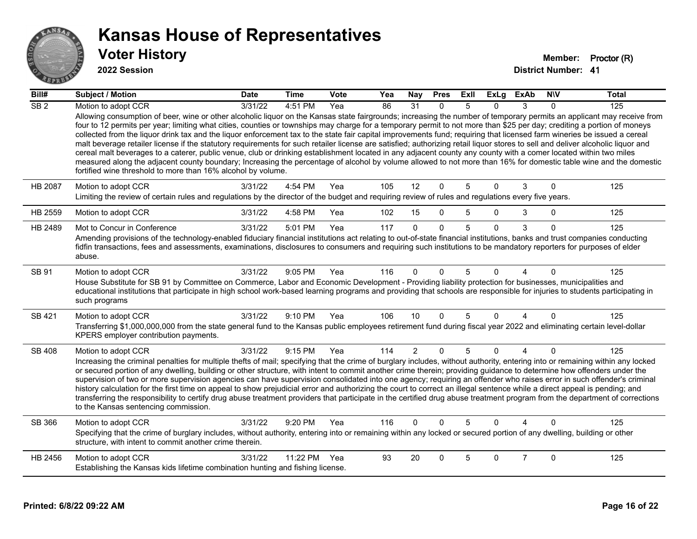

#### **2022 Session**

| Bill#           | <b>Subject / Motion</b>                                                                                                                                                                                                                                                                                                                                                                                                                                                                                                                                                                                                                                                                                                                                                                                                                                                                                                                                                                                                                                                                                                                          | <b>Date</b> | <b>Time</b> | Vote | Yea | Nay            | <b>Pres</b>  | Exll | <b>ExLg</b> | <b>ExAb</b>    | <b>NIV</b>   | <b>Total</b> |
|-----------------|--------------------------------------------------------------------------------------------------------------------------------------------------------------------------------------------------------------------------------------------------------------------------------------------------------------------------------------------------------------------------------------------------------------------------------------------------------------------------------------------------------------------------------------------------------------------------------------------------------------------------------------------------------------------------------------------------------------------------------------------------------------------------------------------------------------------------------------------------------------------------------------------------------------------------------------------------------------------------------------------------------------------------------------------------------------------------------------------------------------------------------------------------|-------------|-------------|------|-----|----------------|--------------|------|-------------|----------------|--------------|--------------|
| SB <sub>2</sub> | Motion to adopt CCR<br>Allowing consumption of beer, wine or other alcoholic liquor on the Kansas state fairgrounds; increasing the number of temporary permits an applicant may receive from<br>four to 12 permits per year; limiting what cities, counties or townships may charge for a temporary permit to not more than \$25 per day; crediting a portion of moneys<br>collected from the liquor drink tax and the liquor enforcement tax to the state fair capital improvements fund; requiring that licensed farm wineries be issued a cereal<br>malt beverage retailer license if the statutory requirements for such retailer license are satisfied; authorizing retail liquor stores to sell and deliver alcoholic liquor and<br>cereal malt beverages to a caterer, public venue, club or drinking establishment located in any adjacent county any county with a comer located within two miles<br>measured along the adjacent county boundary; Increasing the percentage of alcohol by volume allowed to not more than 16% for domestic table wine and the domestic<br>fortified wine threshold to more than 16% alcohol by volume. | 3/31/22     | 4:51 PM     | Yea  | 86  | 31             | $\Omega$     | 5    | 0           | 3              | $\Omega$     | 125          |
| <b>HB 2087</b>  | Motion to adopt CCR<br>Limiting the review of certain rules and regulations by the director of the budget and requiring review of rules and regulations every five years.                                                                                                                                                                                                                                                                                                                                                                                                                                                                                                                                                                                                                                                                                                                                                                                                                                                                                                                                                                        | 3/31/22     | 4:54 PM     | Yea  | 105 | 12             | $\mathbf 0$  | 5    | $\Omega$    | 3              | $\mathbf 0$  | 125          |
| HB 2559         | Motion to adopt CCR                                                                                                                                                                                                                                                                                                                                                                                                                                                                                                                                                                                                                                                                                                                                                                                                                                                                                                                                                                                                                                                                                                                              | 3/31/22     | 4:58 PM     | Yea  | 102 | 15             | $\Omega$     | 5    | $\Omega$    | 3              | $\mathbf 0$  | 125          |
| HB 2489         | Mot to Concur in Conference<br>Amending provisions of the technology-enabled fiduciary financial institutions act relating to out-of-state financial institutions, banks and trust companies conducting<br>fidfin transactions, fees and assessments, examinations, disclosures to consumers and requiring such institutions to be mandatory reporters for purposes of elder<br>abuse.                                                                                                                                                                                                                                                                                                                                                                                                                                                                                                                                                                                                                                                                                                                                                           | 3/31/22     | 5:01 PM     | Yea  | 117 | $\Omega$       | $\Omega$     | 5    | $\Omega$    | 3              | $\Omega$     | 125          |
| SB 91           | Motion to adopt CCR<br>House Substitute for SB 91 by Committee on Commerce, Labor and Economic Development - Providing liability protection for businesses, municipalities and<br>educational institutions that participate in high school work-based learning programs and providing that schools are responsible for injuries to students participating in<br>such programs                                                                                                                                                                                                                                                                                                                                                                                                                                                                                                                                                                                                                                                                                                                                                                    | 3/31/22     | 9:05 PM     | Yea  | 116 | $\Omega$       | $\Omega$     | 5    | 0           |                | $\Omega$     | 125          |
| <b>SB 421</b>   | Motion to adopt CCR<br>Transferring \$1,000,000,000 from the state general fund to the Kansas public employees retirement fund during fiscal year 2022 and eliminating certain level-dollar<br>KPERS employer contribution payments.                                                                                                                                                                                                                                                                                                                                                                                                                                                                                                                                                                                                                                                                                                                                                                                                                                                                                                             | 3/31/22     | 9:10 PM     | Yea  | 106 | 10             | $\Omega$     | 5    | $\Omega$    | 4              | $\mathbf{0}$ | 125          |
| SB 408          | Motion to adopt CCR<br>Increasing the criminal penalties for multiple thefts of mail; specifying that the crime of burglary includes, without authority, entering into or remaining within any locked<br>or secured portion of any dwelling, building or other structure, with intent to commit another crime therein; providing guidance to determine how offenders under the<br>supervision of two or more supervision agencies can have supervision consolidated into one agency; requiring an offender who raises error in such offender's criminal<br>history calculation for the first time on appeal to show prejudicial error and authorizing the court to correct an illegal sentence while a direct appeal is pending; and<br>transferring the responsibility to certify drug abuse treatment providers that participate in the certified drug abuse treatment program from the department of corrections<br>to the Kansas sentencing commission.                                                                                                                                                                                      | 3/31/22     | 9:15 PM     | Yea  | 114 | $\overline{2}$ | $\mathbf{0}$ | 5    | $\Omega$    | $\overline{4}$ | $\Omega$     | 125          |
| SB 366          | Motion to adopt CCR<br>Specifying that the crime of burglary includes, without authority, entering into or remaining within any locked or secured portion of any dwelling, building or other<br>structure, with intent to commit another crime therein.                                                                                                                                                                                                                                                                                                                                                                                                                                                                                                                                                                                                                                                                                                                                                                                                                                                                                          | 3/31/22     | $9:20$ PM   | Yea  | 116 | $\Omega$       | $\Omega$     | 5    | 0           |                | $\Omega$     | 125          |
| HB 2456         | Motion to adopt CCR<br>Establishing the Kansas kids lifetime combination hunting and fishing license.                                                                                                                                                                                                                                                                                                                                                                                                                                                                                                                                                                                                                                                                                                                                                                                                                                                                                                                                                                                                                                            | 3/31/22     | 11:22 PM    | Yea  | 93  | 20             | $\Omega$     | 5    | 0           | $\overline{7}$ | $\Omega$     | 125          |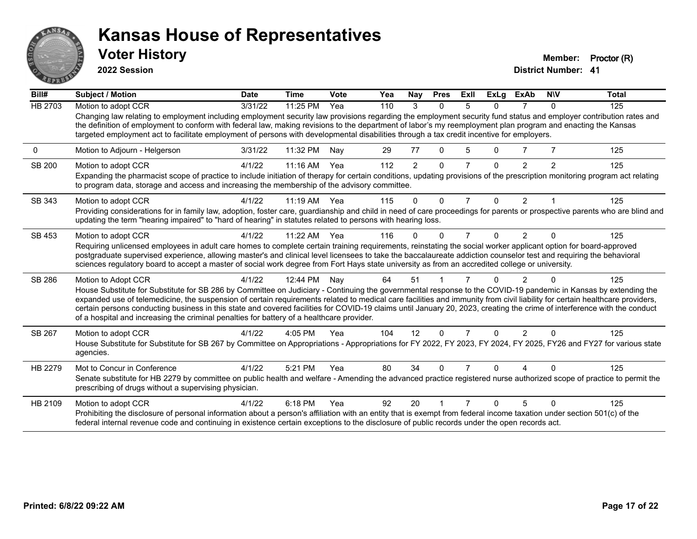

**2022 Session**

**Voter History Member: Proctor (R)** 

| Bill#          | <b>Subject / Motion</b>                                                                                                                                                                                                                                                                                                                                                                                                                                                         | <b>Date</b> | <b>Time</b> | Vote | Yea | Nay      | <b>Pres</b>  | ExII           | <b>ExLg</b> | <b>ExAb</b>    | <b>NIV</b>     | <b>Total</b> |
|----------------|---------------------------------------------------------------------------------------------------------------------------------------------------------------------------------------------------------------------------------------------------------------------------------------------------------------------------------------------------------------------------------------------------------------------------------------------------------------------------------|-------------|-------------|------|-----|----------|--------------|----------------|-------------|----------------|----------------|--------------|
| <b>HB 2703</b> | Motion to adopt CCR                                                                                                                                                                                                                                                                                                                                                                                                                                                             | 3/31/22     | 11:25 PM    | Yea  | 110 | 3        | $\Omega$     | 5              | 0           |                | $\Omega$       | 125          |
|                | Changing law relating to employment including employment security law provisions regarding the employment security fund status and employer contribution rates and<br>the definition of employment to conform with federal law, making revisions to the department of labor's my reemployment plan program and enacting the Kansas<br>targeted employment act to facilitate employment of persons with developmental disabilities through a tax credit incentive for employers. |             |             |      |     |          |              |                |             |                |                |              |
| 0              | Motion to Adjourn - Helgerson                                                                                                                                                                                                                                                                                                                                                                                                                                                   | 3/31/22     | 11:32 PM    | Nay  | 29  | 77       | $\Omega$     | 5              | 0           |                |                | 125          |
| SB 200         | Motion to adopt CCR                                                                                                                                                                                                                                                                                                                                                                                                                                                             | 4/1/22      | 11:16 AM    | Yea  | 112 | 2        | $\mathbf{0}$ | 7              | $\Omega$    | 2              | $\overline{2}$ | 125          |
|                | Expanding the pharmacist scope of practice to include initiation of therapy for certain conditions, updating provisions of the prescription monitoring program act relating<br>to program data, storage and access and increasing the membership of the advisory committee.                                                                                                                                                                                                     |             |             |      |     |          |              |                |             |                |                |              |
| SB 343         | Motion to adopt CCR                                                                                                                                                                                                                                                                                                                                                                                                                                                             | 4/1/22      | $11:19$ AM  | Yea  | 115 | 0        | $\Omega$     | 7              | $\Omega$    | $\overline{2}$ |                | 125          |
|                | Providing considerations for in family law, adoption, foster care, guardianship and child in need of care proceedings for parents or prospective parents who are blind and<br>updating the term "hearing impaired" to "hard of hearing" in statutes related to persons with hearing loss.                                                                                                                                                                                       |             |             |      |     |          |              |                |             |                |                |              |
| SB 453         | Motion to adopt CCR                                                                                                                                                                                                                                                                                                                                                                                                                                                             | 4/1/22      | 11:22 AM    | Yea  | 116 | $\Omega$ | O            | $\overline{7}$ | 0           | 2              | $\Omega$       | 125          |
|                | Requiring unlicensed employees in adult care homes to complete certain training requirements, reinstating the social worker applicant option for board-approved                                                                                                                                                                                                                                                                                                                 |             |             |      |     |          |              |                |             |                |                |              |
|                | postgraduate supervised experience, allowing master's and clinical level licensees to take the baccalaureate addiction counselor test and requiring the behavioral<br>sciences regulatory board to accept a master of social work degree from Fort Hays state university as from an accredited college or university.                                                                                                                                                           |             |             |      |     |          |              |                |             |                |                |              |
| SB 286         | Motion to Adopt CCR                                                                                                                                                                                                                                                                                                                                                                                                                                                             | 4/1/22      | 12:44 PM    | Nav  | 64  | 51       |              |                | U           | 2              | $\Omega$       | 125          |
|                | House Substitute for Substitute for SB 286 by Committee on Judiciary - Continuing the governmental response to the COVID-19 pandemic in Kansas by extending the                                                                                                                                                                                                                                                                                                                 |             |             |      |     |          |              |                |             |                |                |              |
|                | expanded use of telemedicine, the suspension of certain requirements related to medical care facilities and immunity from civil liability for certain healthcare providers,<br>certain persons conducting business in this state and covered facilities for COVID-19 claims until January 20, 2023, creating the crime of interference with the conduct                                                                                                                         |             |             |      |     |          |              |                |             |                |                |              |
|                | of a hospital and increasing the criminal penalties for battery of a healthcare provider.                                                                                                                                                                                                                                                                                                                                                                                       |             |             |      |     |          |              |                |             |                |                |              |
| SB 267         | Motion to adopt CCR                                                                                                                                                                                                                                                                                                                                                                                                                                                             | 4/1/22      | 4:05 PM     | Yea  | 104 | 12       | $\Omega$     | 7              | 0           | 2              | $\Omega$       | 125          |
|                | House Substitute for Substitute for SB 267 by Committee on Appropriations - Appropriations for FY 2022, FY 2023, FY 2024, FY 2025, FY26 and FY27 for various state<br>agencies.                                                                                                                                                                                                                                                                                                 |             |             |      |     |          |              |                |             |                |                |              |
| HB 2279        | Mot to Concur in Conference                                                                                                                                                                                                                                                                                                                                                                                                                                                     | 4/1/22      | 5:21 PM     | Yea  | 80  | 34       | $\Omega$     |                | n           |                |                | 125          |
|                | Senate substitute for HB 2279 by committee on public health and welfare - Amending the advanced practice registered nurse authorized scope of practice to permit the<br>prescribing of drugs without a supervising physician.                                                                                                                                                                                                                                                   |             |             |      |     |          |              |                |             |                |                |              |
| HB 2109        | Motion to adopt CCR                                                                                                                                                                                                                                                                                                                                                                                                                                                             | 4/1/22      | 6:18 PM     | Yea  | 92  | 20       |              |                | n           | 5              |                | 125          |
|                | Prohibiting the disclosure of personal information about a person's affiliation with an entity that is exempt from federal income taxation under section 501(c) of the<br>federal internal revenue code and continuing in existence certain exceptions to the disclosure of public records under the open records act.                                                                                                                                                          |             |             |      |     |          |              |                |             |                |                |              |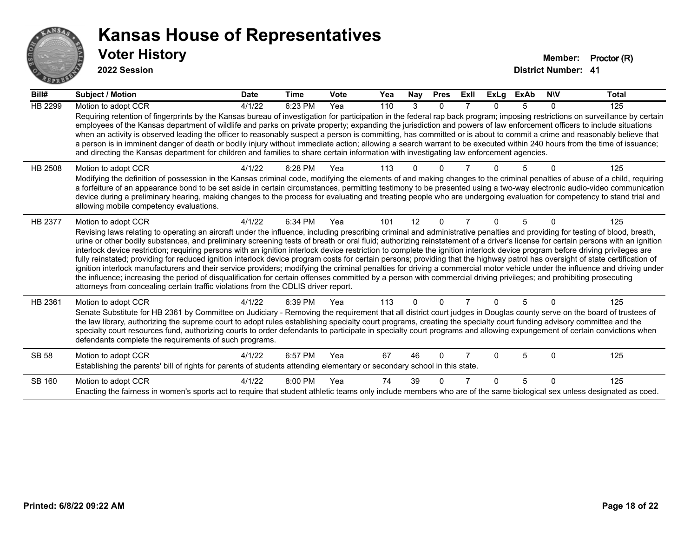

**2022 Session**

| Bill#          | <b>Subject / Motion</b>                                                                                                                                                                                                                                                                                                                                                                                                                                                                                                                                                                                                                                                                                                                                                                                                                                                                                                                                                                                                                                                                                                                                                                               | <b>Date</b> | <b>Time</b> | <b>Vote</b> | Yea | Nay      | <b>Pres</b> | ExII | <b>ExLg</b> | <b>ExAb</b> | <b>NIV</b> | <b>Total</b> |
|----------------|-------------------------------------------------------------------------------------------------------------------------------------------------------------------------------------------------------------------------------------------------------------------------------------------------------------------------------------------------------------------------------------------------------------------------------------------------------------------------------------------------------------------------------------------------------------------------------------------------------------------------------------------------------------------------------------------------------------------------------------------------------------------------------------------------------------------------------------------------------------------------------------------------------------------------------------------------------------------------------------------------------------------------------------------------------------------------------------------------------------------------------------------------------------------------------------------------------|-------------|-------------|-------------|-----|----------|-------------|------|-------------|-------------|------------|--------------|
| <b>HB 2299</b> | Motion to adopt CCR<br>Requiring retention of fingerprints by the Kansas bureau of investigation for participation in the federal rap back program; imposing restrictions on surveillance by certain<br>employees of the Kansas department of wildlife and parks on private property; expanding the jurisdiction and powers of law enforcement officers to include situations<br>when an activity is observed leading the officer to reasonably suspect a person is committing, has committed or is about to commit a crime and reasonably believe that<br>a person is in imminent danger of death or bodily injury without immediate action; allowing a search warrant to be executed within 240 hours from the time of issuance;<br>and directing the Kansas department for children and families to share certain information with investigating law enforcement agencies.                                                                                                                                                                                                                                                                                                                         | 4/1/22      | 6:23 PM     | Yea         | 110 | 3        | $\Omega$    |      | 0           | 5           | 0          | 125          |
| HB 2508        | Motion to adopt CCR<br>Modifying the definition of possession in the Kansas criminal code, modifying the elements of and making changes to the criminal penalties of abuse of a child, requiring<br>a forfeiture of an appearance bond to be set aside in certain circumstances, permitting testimony to be presented using a two-way electronic audio-video communication<br>device during a preliminary hearing, making changes to the process for evaluating and treating people who are undergoing evaluation for competency to stand trial and<br>allowing mobile competency evaluations.                                                                                                                                                                                                                                                                                                                                                                                                                                                                                                                                                                                                        | 4/1/22      | 6:28 PM     | Yea         | 113 |          |             |      |             |             |            | 125          |
| HB 2377        | Motion to adopt CCR<br>Revising laws relating to operating an aircraft under the influence, including prescribing criminal and administrative penalties and providing for testing of blood, breath,<br>urine or other bodily substances, and preliminary screening tests of breath or oral fluid; authorizing reinstatement of a driver's license for certain persons with an ignition<br>interlock device restriction; requiring persons with an ignition interlock device restriction to complete the ignition interlock device program before driving privileges are<br>fully reinstated; providing for reduced ignition interlock device program costs for certain persons; providing that the highway patrol has oversight of state certification of<br>ignition interlock manufacturers and their service providers; modifying the criminal penalties for driving a commercial motor vehicle under the influence and driving under<br>the influence; increasing the period of disqualification for certain offenses committed by a person with commercial driving privileges; and prohibiting prosecuting<br>attorneys from concealing certain traffic violations from the CDLIS driver report. | 4/1/22      | 6:34 PM     | Yea         | 101 | 12       | $\Omega$    |      | 0           | 5           | $\Omega$   | 125          |
| HB 2361        | Motion to adopt CCR<br>Senate Substitute for HB 2361 by Committee on Judiciary - Removing the requirement that all district court judges in Douglas county serve on the board of trustees of<br>the law library, authorizing the supreme court to adopt rules establishing specialty court programs, creating the specialty court funding advisory committee and the<br>specialty court resources fund, authorizing courts to order defendants to participate in specialty court programs and allowing expungement of certain convictions when<br>defendants complete the requirements of such programs.                                                                                                                                                                                                                                                                                                                                                                                                                                                                                                                                                                                              | 4/1/22      | 6:39 PM     | Yea         | 113 | $\Omega$ | $\Omega$    |      | 0           | 5           | $\Omega$   | 125          |
| <b>SB 58</b>   | Motion to adopt CCR<br>Establishing the parents' bill of rights for parents of students attending elementary or secondary school in this state.                                                                                                                                                                                                                                                                                                                                                                                                                                                                                                                                                                                                                                                                                                                                                                                                                                                                                                                                                                                                                                                       | 4/1/22      | $6:57$ PM   | Yea         | 67  | 46       | $\Omega$    |      | n           | 5           | $\Omega$   | 125          |
| SB 160         | Motion to adopt CCR<br>Enacting the fairness in women's sports act to require that student athletic teams only include members who are of the same biological sex unless designated as coed.                                                                                                                                                                                                                                                                                                                                                                                                                                                                                                                                                                                                                                                                                                                                                                                                                                                                                                                                                                                                          | 4/1/22      | $8:00$ PM   | Yea         | 74  | 39       |             |      | n           | 5           | $\Omega$   | 125          |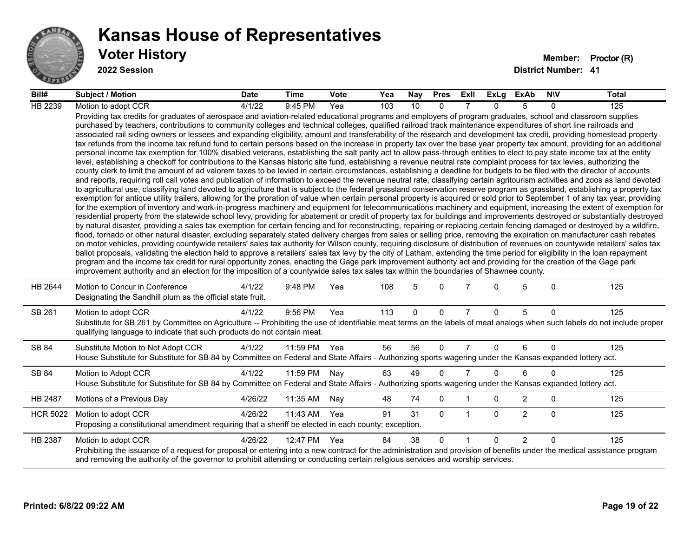

#### **Voter History Member: Proctor (R) Kansas House of Representatives**

**2022 Session**

| Bill#           | <b>Subject / Motion</b>                                                                                                                                                                                                                                                                                                                                                                                                                                                                                                                                                                                                                                                                                                                                                                                                                                                                                                                                                                                                                                                                                                                                                                                                                                                                                                                                                                                                                                                                                                                                                                                                                                                                                                                                                                                                                                                                                                                                                                                                                                                                                                                                                                                                                                                                                                                                                                                                                                                                                                                                                                                                                                                                                                                                                                                                                                                                                                                                                                                                                                                                                                                                                     | <b>Date</b> | Time     | Vote | Yea | Nay          | <b>Pres</b> | Exll           |          | ExLg ExAb      | <b>NIV</b> | <b>Total</b> |
|-----------------|-----------------------------------------------------------------------------------------------------------------------------------------------------------------------------------------------------------------------------------------------------------------------------------------------------------------------------------------------------------------------------------------------------------------------------------------------------------------------------------------------------------------------------------------------------------------------------------------------------------------------------------------------------------------------------------------------------------------------------------------------------------------------------------------------------------------------------------------------------------------------------------------------------------------------------------------------------------------------------------------------------------------------------------------------------------------------------------------------------------------------------------------------------------------------------------------------------------------------------------------------------------------------------------------------------------------------------------------------------------------------------------------------------------------------------------------------------------------------------------------------------------------------------------------------------------------------------------------------------------------------------------------------------------------------------------------------------------------------------------------------------------------------------------------------------------------------------------------------------------------------------------------------------------------------------------------------------------------------------------------------------------------------------------------------------------------------------------------------------------------------------------------------------------------------------------------------------------------------------------------------------------------------------------------------------------------------------------------------------------------------------------------------------------------------------------------------------------------------------------------------------------------------------------------------------------------------------------------------------------------------------------------------------------------------------------------------------------------------------------------------------------------------------------------------------------------------------------------------------------------------------------------------------------------------------------------------------------------------------------------------------------------------------------------------------------------------------------------------------------------------------------------------------------------------------|-------------|----------|------|-----|--------------|-------------|----------------|----------|----------------|------------|--------------|
| HB 2239         | Motion to adopt CCR                                                                                                                                                                                                                                                                                                                                                                                                                                                                                                                                                                                                                                                                                                                                                                                                                                                                                                                                                                                                                                                                                                                                                                                                                                                                                                                                                                                                                                                                                                                                                                                                                                                                                                                                                                                                                                                                                                                                                                                                                                                                                                                                                                                                                                                                                                                                                                                                                                                                                                                                                                                                                                                                                                                                                                                                                                                                                                                                                                                                                                                                                                                                                         | 4/1/22      | 9:45 PM  | Yea  | 103 | 10           | $\Omega$    |                | $\Omega$ | $\overline{5}$ | $\Omega$   | 125          |
|                 | Providing tax credits for graduates of aerospace and aviation-related educational programs and employers of program graduates, school and classroom supplies<br>purchased by teachers, contributions to community colleges and technical colleges, qualified railroad track maintenance expenditures of short line railroads and<br>associated rail siding owners or lessees and expanding eligibility, amount and transferability of the research and development tax credit, providing homestead property<br>tax refunds from the income tax refund fund to certain persons based on the increase in property tax over the base year property tax amount, providing for an additional<br>personal income tax exemption for 100% disabled veterans, establishing the salt parity act to allow pass-through entities to elect to pay state income tax at the entity<br>level, establishing a checkoff for contributions to the Kansas historic site fund, establishing a revenue neutral rate complaint process for tax levies, authorizing the<br>county clerk to limit the amount of ad valorem taxes to be levied in certain circumstances, establishing a deadline for budgets to be filed with the director of accounts<br>and reports, requiring roll call votes and publication of information to exceed the revenue neutral rate, classifying certain agritourism activities and zoos as land devoted<br>to agricultural use, classifying land devoted to agriculture that is subject to the federal grassland conservation reserve program as grassland, establishing a property tax<br>exemption for antique utility trailers, allowing for the proration of value when certain personal property is acquired or sold prior to September 1 of any tax year, providing<br>for the exemption of inventory and work-in-progress machinery and equipment for telecommunications machinery and equipment, increasing the extent of exemption for<br>residential property from the statewide school levy, providing for abatement or credit of property tax for buildings and improvements destroyed or substantially destroyed<br>by natural disaster, providing a sales tax exemption for certain fencing and for reconstructing, repairing or replacing certain fencing damaged or destroyed by a wildfire,<br>flood, tornado or other natural disaster, excluding separately stated delivery charges from sales or selling price, removing the expiration on manufacturer cash rebates<br>on motor vehicles, providing countywide retailers' sales tax authority for Wilson county, requiring disclosure of distribution of revenues on countywide retailers' sales tax<br>ballot proposals, validating the election held to approve a retailers' sales tax levy by the city of Latham, extending the time period for eligibility in the loan repayment<br>program and the income tax credit for rural opportunity zones, enacting the Gage park improvement authority act and providing for the creation of the Gage park<br>improvement authority and an election for the imposition of a countywide sales tax sales tax within the boundaries of Shawnee county. |             |          |      |     |              |             |                |          |                |            |              |
| HB 2644         | Motion to Concur in Conference<br>Designating the Sandhill plum as the official state fruit.                                                                                                                                                                                                                                                                                                                                                                                                                                                                                                                                                                                                                                                                                                                                                                                                                                                                                                                                                                                                                                                                                                                                                                                                                                                                                                                                                                                                                                                                                                                                                                                                                                                                                                                                                                                                                                                                                                                                                                                                                                                                                                                                                                                                                                                                                                                                                                                                                                                                                                                                                                                                                                                                                                                                                                                                                                                                                                                                                                                                                                                                                | 4/1/22      | 9:48 PM  | Yea  | 108 | 5            | $\Omega$    |                | $\Omega$ | 5              | $\Omega$   | 125          |
| SB 261          | Motion to adopt CCR<br>Substitute for SB 261 by Committee on Agriculture -- Prohibiting the use of identifiable meat terms on the labels of meat analogs when such labels do not include proper<br>qualifying language to indicate that such products do not contain meat.                                                                                                                                                                                                                                                                                                                                                                                                                                                                                                                                                                                                                                                                                                                                                                                                                                                                                                                                                                                                                                                                                                                                                                                                                                                                                                                                                                                                                                                                                                                                                                                                                                                                                                                                                                                                                                                                                                                                                                                                                                                                                                                                                                                                                                                                                                                                                                                                                                                                                                                                                                                                                                                                                                                                                                                                                                                                                                  | 4/1/22      | 9:56 PM  | Yea  | 113 | $\mathbf{0}$ | $\Omega$    | $\overline{7}$ | $\Omega$ | 5              | $\Omega$   | 125          |
| SB 84           | Substitute Motion to Not Adopt CCR<br>House Substitute for Substitute for SB 84 by Committee on Federal and State Affairs - Authorizing sports wagering under the Kansas expanded lottery act.                                                                                                                                                                                                                                                                                                                                                                                                                                                                                                                                                                                                                                                                                                                                                                                                                                                                                                                                                                                                                                                                                                                                                                                                                                                                                                                                                                                                                                                                                                                                                                                                                                                                                                                                                                                                                                                                                                                                                                                                                                                                                                                                                                                                                                                                                                                                                                                                                                                                                                                                                                                                                                                                                                                                                                                                                                                                                                                                                                              | 4/1/22      | 11:59 PM | Yea  | 56  | 56           | $\Omega$    | $\overline{7}$ | $\Omega$ | 6              | $\Omega$   | 125          |
| SB 84           | Motion to Adopt CCR<br>House Substitute for Substitute for SB 84 by Committee on Federal and State Affairs - Authorizing sports wagering under the Kansas expanded lottery act.                                                                                                                                                                                                                                                                                                                                                                                                                                                                                                                                                                                                                                                                                                                                                                                                                                                                                                                                                                                                                                                                                                                                                                                                                                                                                                                                                                                                                                                                                                                                                                                                                                                                                                                                                                                                                                                                                                                                                                                                                                                                                                                                                                                                                                                                                                                                                                                                                                                                                                                                                                                                                                                                                                                                                                                                                                                                                                                                                                                             | 4/1/22      | 11:59 PM | Nay  | 63  | 49           | $\Omega$    | 7              | $\Omega$ | 6              | 0          | 125          |
| HB 2487         | Motions of a Previous Day                                                                                                                                                                                                                                                                                                                                                                                                                                                                                                                                                                                                                                                                                                                                                                                                                                                                                                                                                                                                                                                                                                                                                                                                                                                                                                                                                                                                                                                                                                                                                                                                                                                                                                                                                                                                                                                                                                                                                                                                                                                                                                                                                                                                                                                                                                                                                                                                                                                                                                                                                                                                                                                                                                                                                                                                                                                                                                                                                                                                                                                                                                                                                   | 4/26/22     | 11:35 AM | Nay  | 48  | 74           | 0           |                | $\Omega$ | 2              | 0          | 125          |
| <b>HCR 5022</b> | Motion to adopt CCR<br>Proposing a constitutional amendment requiring that a sheriff be elected in each county; exception.                                                                                                                                                                                                                                                                                                                                                                                                                                                                                                                                                                                                                                                                                                                                                                                                                                                                                                                                                                                                                                                                                                                                                                                                                                                                                                                                                                                                                                                                                                                                                                                                                                                                                                                                                                                                                                                                                                                                                                                                                                                                                                                                                                                                                                                                                                                                                                                                                                                                                                                                                                                                                                                                                                                                                                                                                                                                                                                                                                                                                                                  | 4/26/22     | 11:43 AM | Yea  | 91  | 31           | $\Omega$    | -1             | $\Omega$ | $\overline{2}$ | $\Omega$   | 125          |
| HB 2387         | Motion to adopt CCR<br>Prohibiting the issuance of a request for proposal or entering into a new contract for the administration and provision of benefits under the medical assistance program<br>and removing the authority of the governor to prohibit attending or conducting certain religious services and worship services.                                                                                                                                                                                                                                                                                                                                                                                                                                                                                                                                                                                                                                                                                                                                                                                                                                                                                                                                                                                                                                                                                                                                                                                                                                                                                                                                                                                                                                                                                                                                                                                                                                                                                                                                                                                                                                                                                                                                                                                                                                                                                                                                                                                                                                                                                                                                                                                                                                                                                                                                                                                                                                                                                                                                                                                                                                          | 4/26/22     | 12:47 PM | Yea  | 84  | 38           | $\Omega$    |                | $\Omega$ | 2              | $\Omega$   | 125          |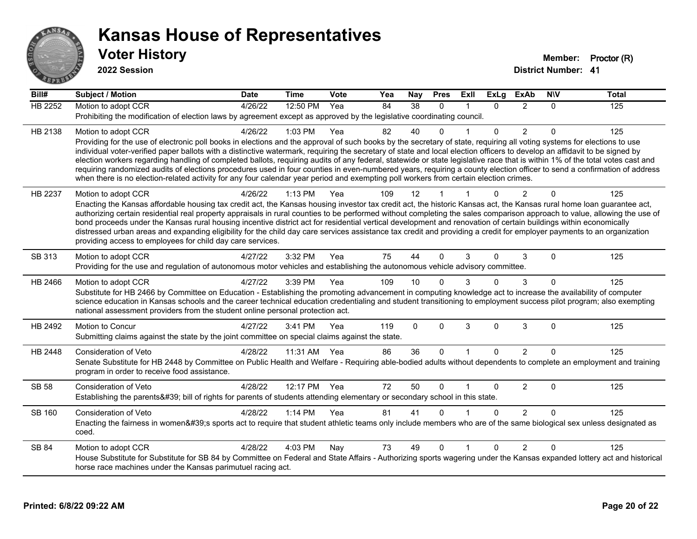

**2022 Session**

**Bill# Subject / Motion Date Time Vote Yea Nay Pres Exll ExLg ExAb N\V Total** HB 2252 Motion to adopt CCR 4/26/22 12:50 PM Yea 84 38 0 1 0 2 0 125 Prohibiting the modification of election laws by agreement except as approved by the legislative coordinating council. HB 2138 Motion to adopt CCR 4/26/22 1:03 PM Yea 82 40 0 1 0 2 0 125 Providing for the use of electronic poll books in elections and the approval of such books by the secretary of state, requiring all voting systems for elections to use individual voter-verified paper ballots with a distinctive watermark, requiring the secretary of state and local election officers to develop an affidavit to be signed by election workers regarding handling of completed ballots, requiring audits of any federal, statewide or state legislative race that is within 1% of the total votes cast and requiring randomized audits of elections procedures used in four counties in even-numbered years, requiring a county election officer to send a confirmation of address when there is no election-related activity for any four calendar year period and exempting poll workers from certain election crimes. HB 2237 Motion to adopt CCR 4/26/22 1:13 PM Yea 109 12 1 1 0 2 0 125 Enacting the Kansas affordable housing tax credit act, the Kansas housing investor tax credit act, the historic Kansas act, the Kansas rural home loan guarantee act, authorizing certain residential real property appraisals in rural counties to be performed without completing the sales comparison approach to value, allowing the use of bond proceeds under the Kansas rural housing incentive district act for residential vertical development and renovation of certain buildings within economically distressed urban areas and expanding eligibility for the child day care services assistance tax credit and providing a credit for employer payments to an organization providing access to employees for child day care services. SB 313 Motion to adopt CCR 4/27/22 3:32 PM Yea 75 44 0 3 0 3 0 125 Providing for the use and regulation of autonomous motor vehicles and establishing the autonomous vehicle advisory committee. HB 2466 Motion to adopt CCR 4/27/22 3:39 PM Yea 109 10 0 3 0 3 0 125 Substitute for HB 2466 by Committee on Education - Establishing the promoting advancement in computing knowledge act to increase the availability of computer science education in Kansas schools and the career technical education credentialing and student transitioning to employment success pilot program; also exempting national assessment providers from the student online personal protection act. HB 2492 Motion to Concur 4/27/22 3:41 PM Yea 119 0 0 3 0 3 0 125 Submitting claims against the state by the joint committee on special claims against the state. HB 2448 Consideration of Veto 4/28/22 11:31 AM Yea 86 36 0 1 0 2 0 125 Senate Substitute for HB 2448 by Committee on Public Health and Welfare - Requiring able-bodied adults without dependents to complete an employment and training program in order to receive food assistance. SB 58 Consideration of Veto **4/28/22 12:17 PM Yea** 72 50 0 1 0 2 0 125 Establishing the parents' bill of rights for parents of students attending elementary or secondary school in this state. SB 160 Consideration of Veto **4/28/22 1:14 PM Yea** 81 41 0 1 0 2 0 125 Enacting the fairness in women's sports act to require that student athletic teams only include members who are of the same biological sex unless designated as coed. SB 84 Motion to adopt CCR 4/28/22 4:03 PM Nay 73 49 0 1 0 2 0 125 House Substitute for Substitute for SB 84 by Committee on Federal and State Affairs - Authorizing sports wagering under the Kansas expanded lottery act and historical horse race machines under the Kansas parimutuel racing act.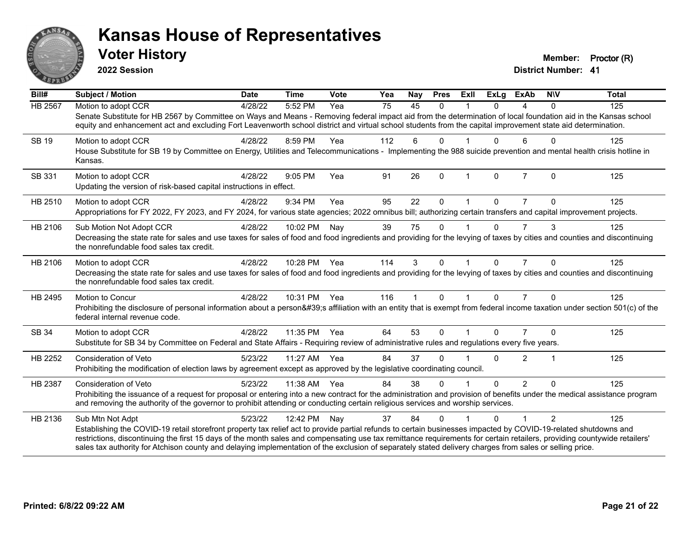

**2022 Session**

**District Number: 41 Voter History Member: Proctor (R)** 

| $\overline{Bill#}$ | <b>Subject / Motion</b>                                                                                                                                                                                                                                                                                                                                                                                                                                                                                | <b>Date</b> | <b>Time</b>  | <b>Vote</b> | Yea | Nay                  | <b>Pres</b>  | Exll         | <b>ExLg</b> | <b>ExAb</b>    | <b>NIV</b>     | <b>Total</b> |
|--------------------|--------------------------------------------------------------------------------------------------------------------------------------------------------------------------------------------------------------------------------------------------------------------------------------------------------------------------------------------------------------------------------------------------------------------------------------------------------------------------------------------------------|-------------|--------------|-------------|-----|----------------------|--------------|--------------|-------------|----------------|----------------|--------------|
| HB 2567            | Motion to adopt CCR                                                                                                                                                                                                                                                                                                                                                                                                                                                                                    | 4/28/22     | 5:52 PM      | Yea         | 75  | 45                   | $\Omega$     |              | $\Omega$    | 4              | $\mathbf{0}$   | 125          |
|                    | Senate Substitute for HB 2567 by Committee on Ways and Means - Removing federal impact aid from the determination of local foundation aid in the Kansas school<br>equity and enhancement act and excluding Fort Leavenworth school district and virtual school students from the capital improvement state aid determination.                                                                                                                                                                          |             |              |             |     |                      |              |              |             |                |                |              |
| <b>SB 19</b>       | Motion to adopt CCR                                                                                                                                                                                                                                                                                                                                                                                                                                                                                    | 4/28/22     | 8:59 PM      | Yea         | 112 | 6                    | $\Omega$     |              | 0           | 6              | $\Omega$       | 125          |
|                    | House Substitute for SB 19 by Committee on Energy, Utilities and Telecommunications - Implementing the 988 suicide prevention and mental health crisis hotline in<br>Kansas.                                                                                                                                                                                                                                                                                                                           |             |              |             |     |                      |              |              |             |                |                |              |
| SB 331             | Motion to adopt CCR                                                                                                                                                                                                                                                                                                                                                                                                                                                                                    | 4/28/22     | $9:05$ PM    | Yea         | 91  | 26                   | $\mathbf{0}$ | $\mathbf{1}$ | $\Omega$    | $\overline{7}$ | $\Omega$       | 125          |
|                    | Updating the version of risk-based capital instructions in effect.                                                                                                                                                                                                                                                                                                                                                                                                                                     |             |              |             |     |                      |              |              |             |                |                |              |
| HB 2510            | Motion to adopt CCR                                                                                                                                                                                                                                                                                                                                                                                                                                                                                    | 4/28/22     | 9:34 PM      | Yea         | 95  | 22                   | $\Omega$     |              | $\Omega$    | 7              | 0              | 125          |
|                    | Appropriations for FY 2022, FY 2023, and FY 2024, for various state agencies; 2022 omnibus bill; authorizing certain transfers and capital improvement projects.                                                                                                                                                                                                                                                                                                                                       |             |              |             |     |                      |              |              |             |                |                |              |
| HB 2106            | Sub Motion Not Adopt CCR                                                                                                                                                                                                                                                                                                                                                                                                                                                                               | 4/28/22     | 10:02 PM     | Nay         | 39  | 75                   | $\Omega$     |              | $\Omega$    | $\overline{7}$ | 3              | 125          |
|                    | Decreasing the state rate for sales and use taxes for sales of food and food ingredients and providing for the levying of taxes by cities and counties and discontinuing<br>the nonrefundable food sales tax credit.                                                                                                                                                                                                                                                                                   |             |              |             |     |                      |              |              |             |                |                |              |
| HB 2106            | Motion to adopt CCR                                                                                                                                                                                                                                                                                                                                                                                                                                                                                    | 4/28/22     | 10:28 PM Yea |             | 114 | 3                    | $\Omega$     |              | $\Omega$    | $\overline{7}$ | $\Omega$       | 125          |
|                    | Decreasing the state rate for sales and use taxes for sales of food and food ingredients and providing for the levying of taxes by cities and counties and discontinuing<br>the nonrefundable food sales tax credit.                                                                                                                                                                                                                                                                                   |             |              |             |     |                      |              |              |             |                |                |              |
| HB 2495            | Motion to Concur                                                                                                                                                                                                                                                                                                                                                                                                                                                                                       | 4/28/22     | 10:31 PM Yea |             | 116 | $\blacktriangleleft$ | $\mathbf 0$  | $\mathbf{1}$ | $\Omega$    | $\overline{7}$ | $\Omega$       | 125          |
|                    | Prohibiting the disclosure of personal information about a person's affiliation with an entity that is exempt from federal income taxation under section 501(c) of the<br>federal internal revenue code.                                                                                                                                                                                                                                                                                               |             |              |             |     |                      |              |              |             |                |                |              |
| SB 34              | Motion to adopt CCR                                                                                                                                                                                                                                                                                                                                                                                                                                                                                    | 4/28/22     | 11:35 PM     | Yea         | 64  | 53                   | 0            |              | $\Omega$    |                | $\Omega$       | 125          |
|                    | Substitute for SB 34 by Committee on Federal and State Affairs - Requiring review of administrative rules and regulations every five years.                                                                                                                                                                                                                                                                                                                                                            |             |              |             |     |                      |              |              |             |                |                |              |
| HB 2252            | <b>Consideration of Veto</b>                                                                                                                                                                                                                                                                                                                                                                                                                                                                           | 5/23/22     | 11:27 AM     | Yea         | 84  | 37                   | $\Omega$     |              | $\Omega$    | $\overline{2}$ | $\overline{1}$ | 125          |
|                    | Prohibiting the modification of election laws by agreement except as approved by the legislative coordinating council.                                                                                                                                                                                                                                                                                                                                                                                 |             |              |             |     |                      |              |              |             |                |                |              |
| HB 2387            | Consideration of Veto                                                                                                                                                                                                                                                                                                                                                                                                                                                                                  | 5/23/22     | 11:38 AM     | Yea         | 84  | 38                   | $\Omega$     |              | $\Omega$    | $\overline{2}$ | $\Omega$       | 125          |
|                    | Prohibiting the issuance of a request for proposal or entering into a new contract for the administration and provision of benefits under the medical assistance program<br>and removing the authority of the governor to prohibit attending or conducting certain religious services and worship services.                                                                                                                                                                                            |             |              |             |     |                      |              |              |             |                |                |              |
| HB 2136            | Sub Mtn Not Adpt                                                                                                                                                                                                                                                                                                                                                                                                                                                                                       | 5/23/22     | 12:42 PM     | Nay         | 37  | 84                   | $\Omega$     |              | $\Omega$    | 1              | $\overline{2}$ | 125          |
|                    | Establishing the COVID-19 retail storefront property tax relief act to provide partial refunds to certain businesses impacted by COVID-19-related shutdowns and<br>restrictions, discontinuing the first 15 days of the month sales and compensating use tax remittance requirements for certain retailers, providing countywide retailers'<br>sales tax authority for Atchison county and delaying implementation of the exclusion of separately stated delivery charges from sales or selling price. |             |              |             |     |                      |              |              |             |                |                |              |